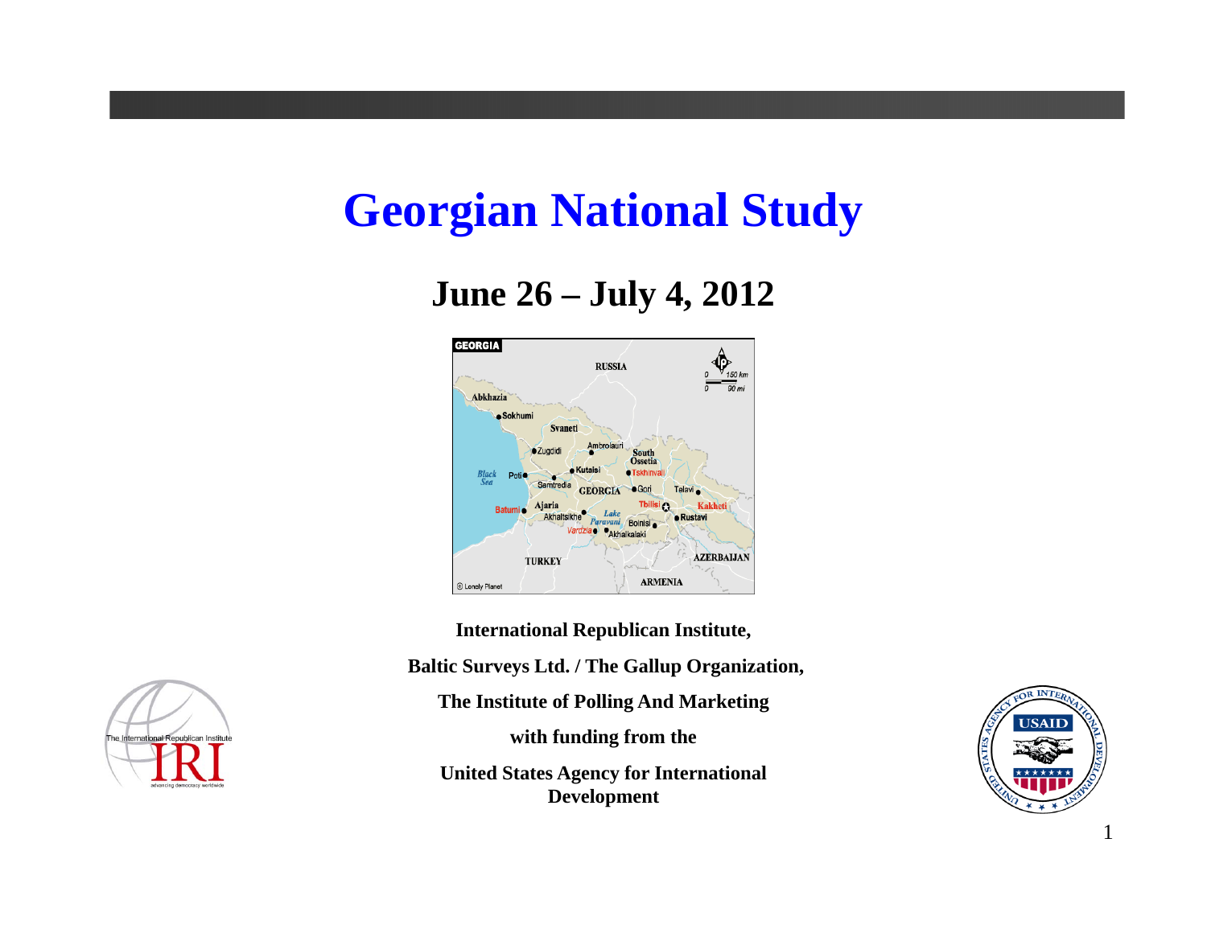# **Georgian National Study**

#### **June 26 – July 4, 2012**



**International Republican Institute, Baltic Surveys Ltd. / The Gallup Organization, The Institute of Polling And Marketing with funding from the United States Agency for International Development**



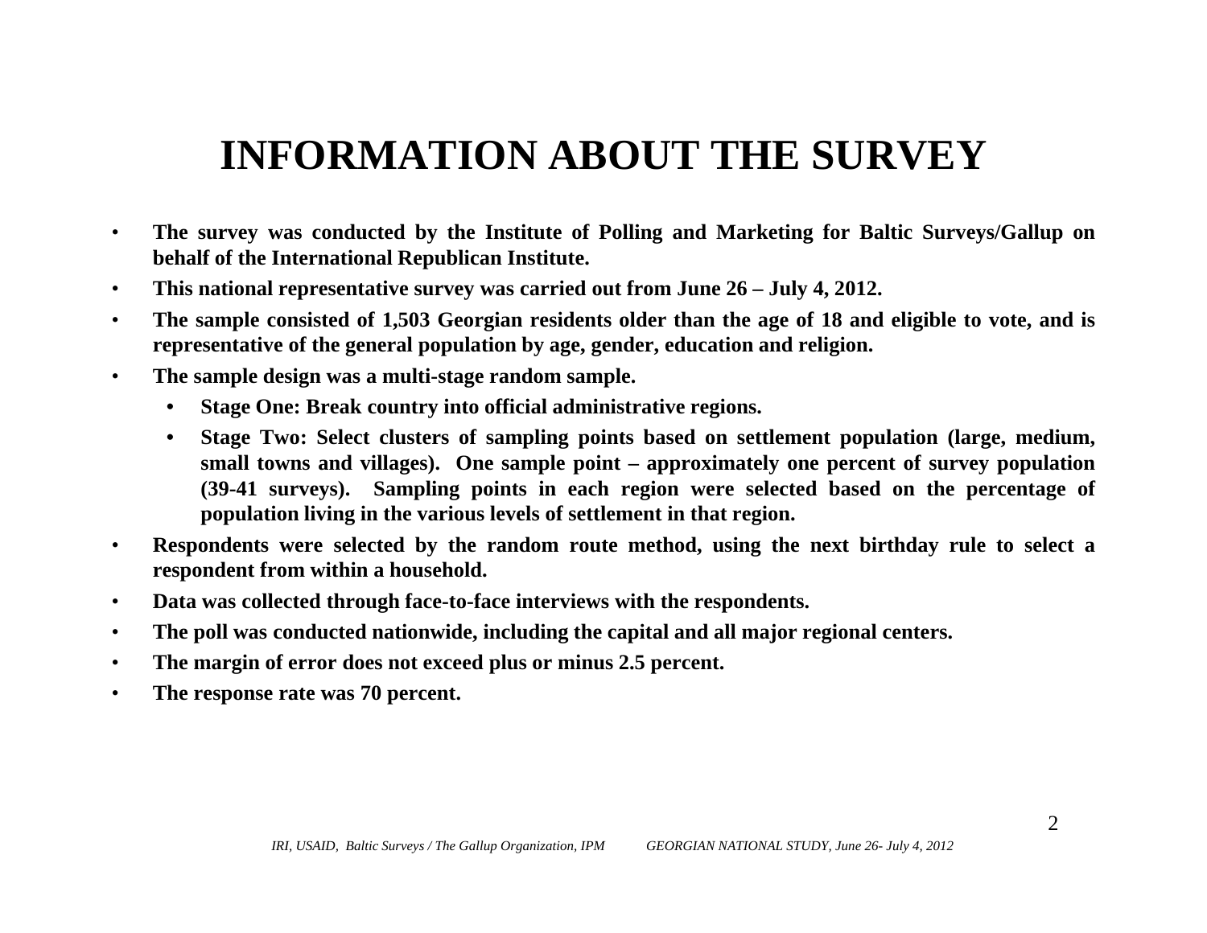# **INFORMATION ABOUT THE SURVEY**

- $\bullet$ The survey was conducted by the Institute of Polling and Marketing for Baltic Surveys/Gallup on **behalf of the International Republican Institute.**
- $\bullet$ This national representative survey was carried out from June 26 – July 4, 2012.
- •The sample consisted of 1,503 Georgian residents older than the age of 18 and eligible to vote, and is representative of the general population by age, gender, education and religion.
- $\bullet$  **The sample design was <sup>a</sup> multi-stage random sample.**
	- $\bullet$ **Stage One: Break country into official administrative regions.**
	- $\bullet$ Stage Two: Select clusters of sampling points based on settlement population (large, medium, small towns and villages). One sample point – approximately one percent of survey population (39-41 surveys). Sampling points in each region were selected based on the percentage of population living in the various levels of settlement in that region.
- •Respondents were selected by the random route method, using the next birthday rule to select a **respondent from within <sup>a</sup> household.**
- $\bullet$ **Data was collected through face-to-face interviews with the respondents.**
- •The poll was conducted nationwide, including the capital and all major regional centers.
- $\bullet$ The margin of error does not exceed plus or minus 2.5 percent.
- •**The response rate was 70 percent.**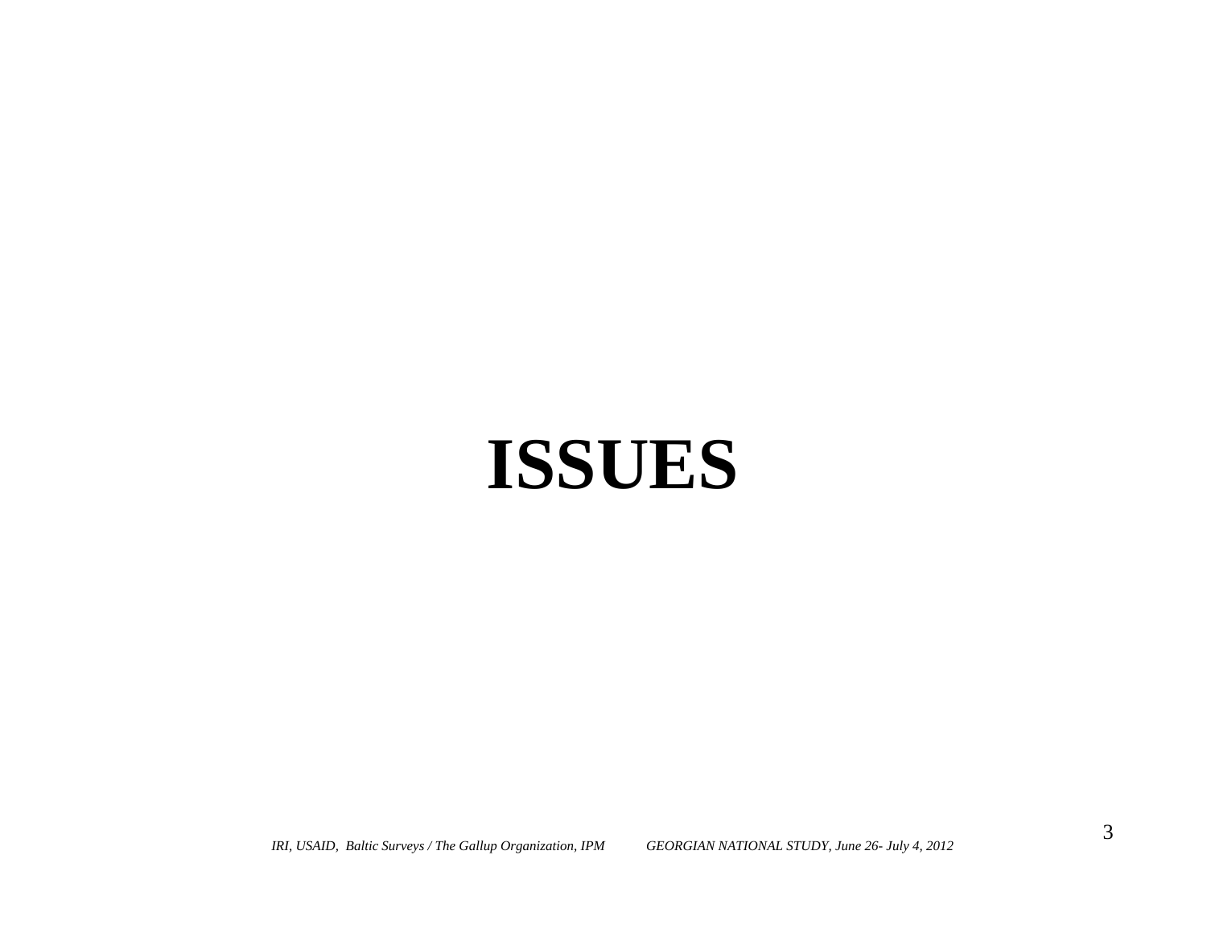# **ISSUES**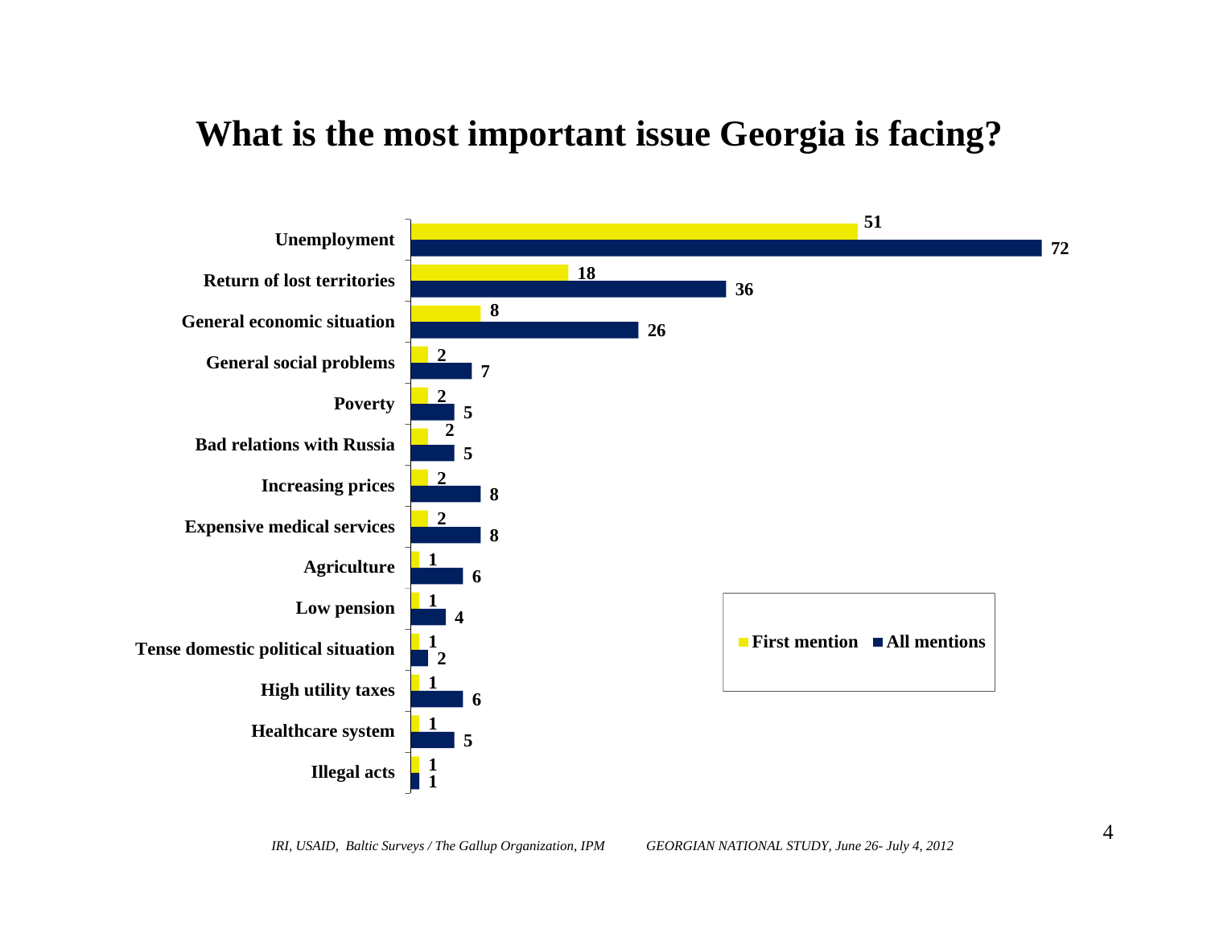#### **What is the most important issue Georgia is facing?**

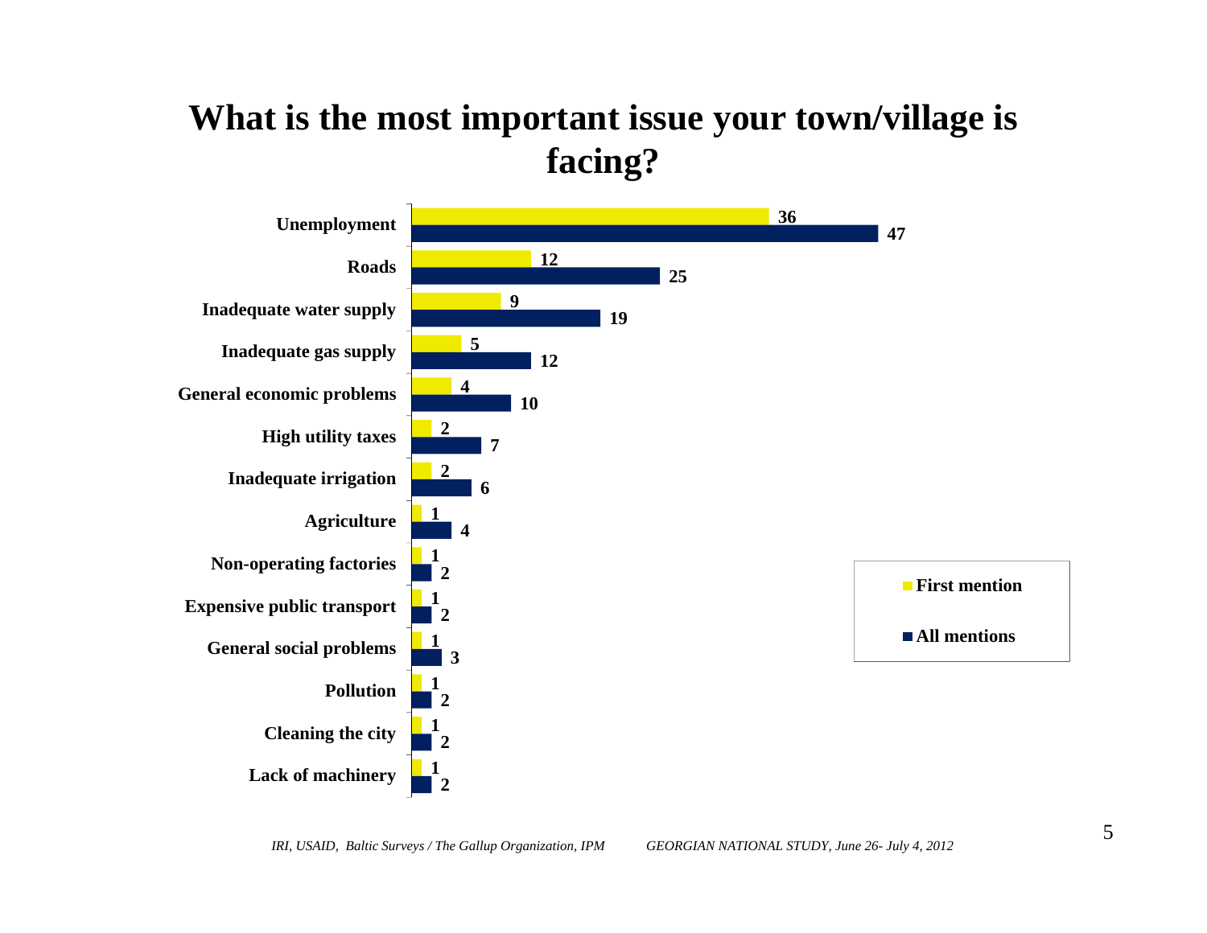### **What is the most important issue your town/village is facing?**

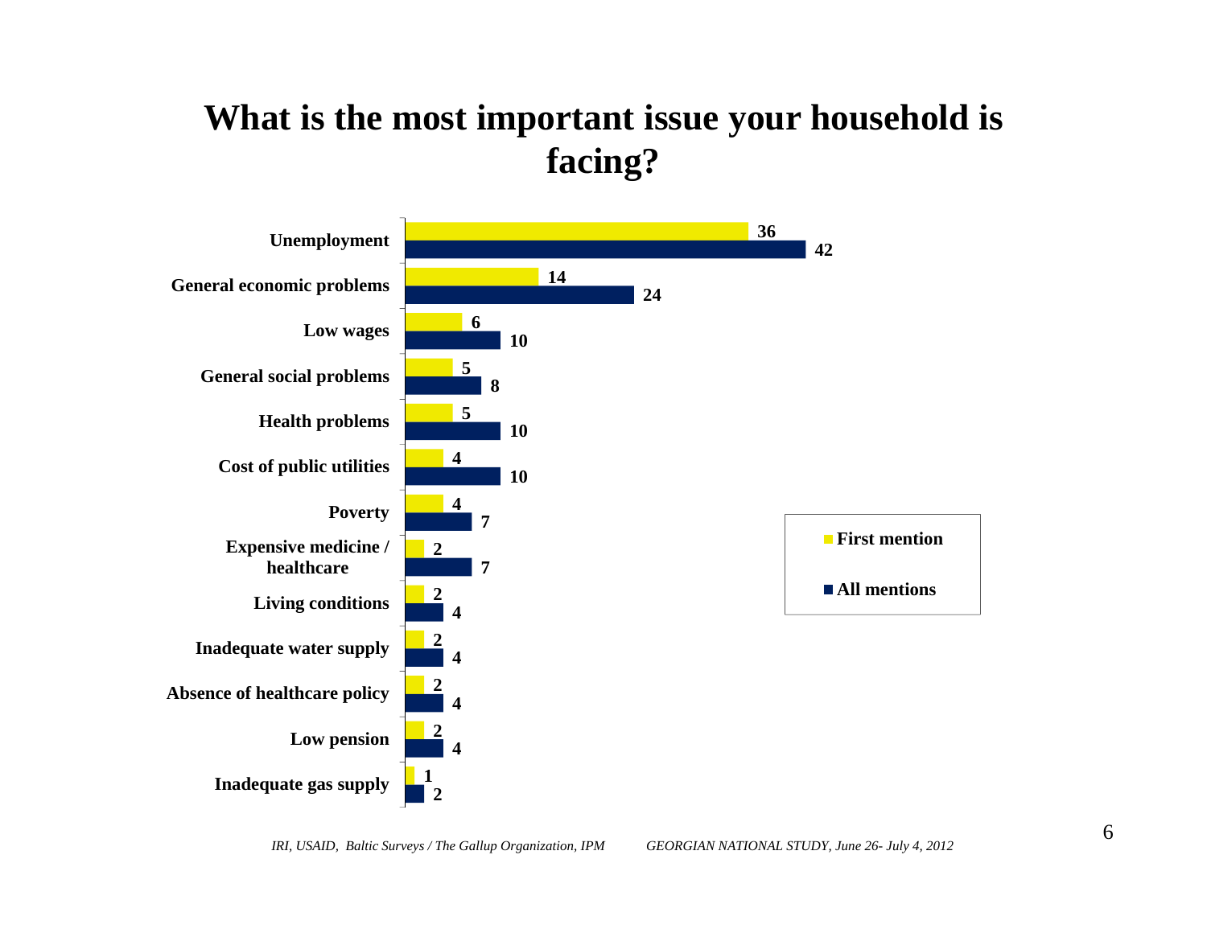## **What is the most important issue your household is facing?**

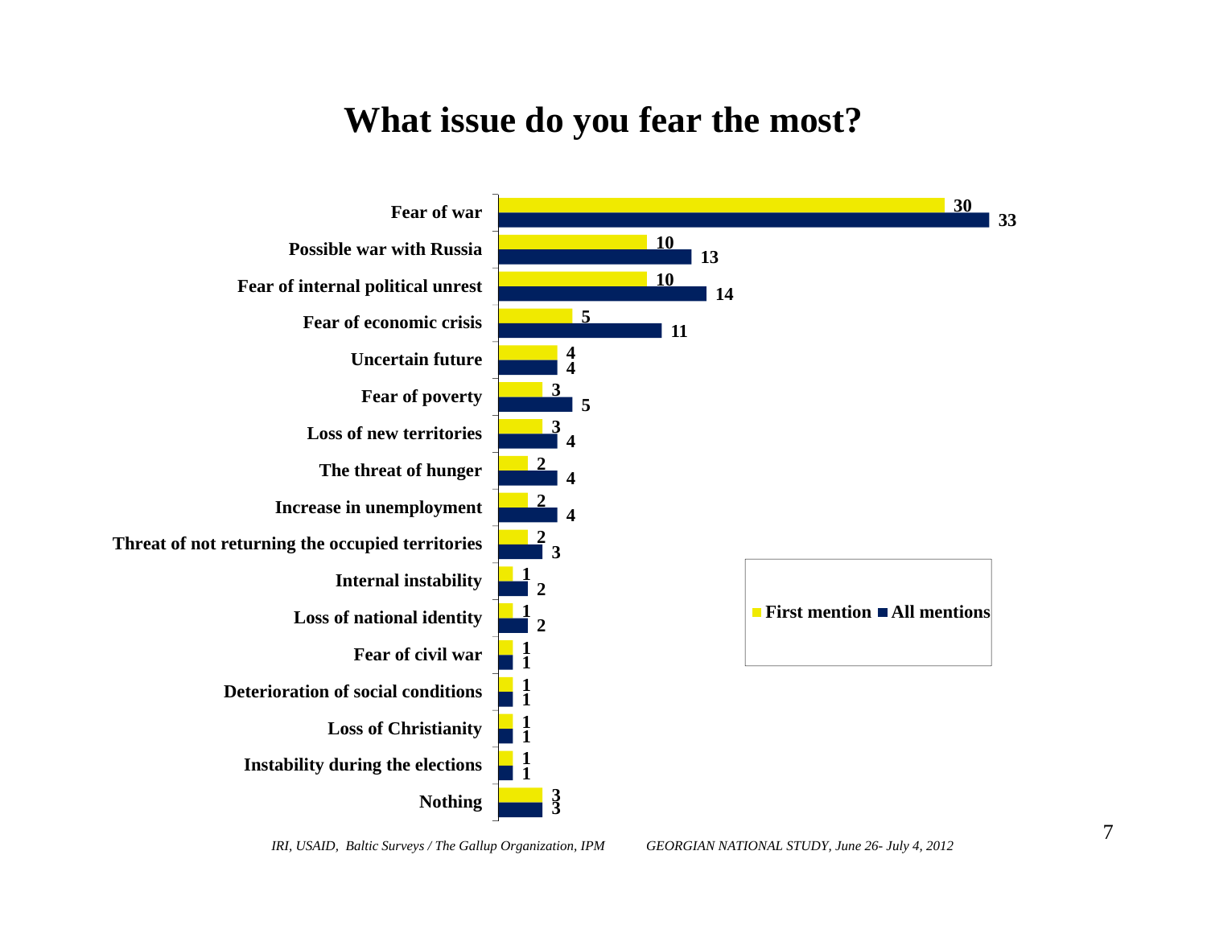#### **What issue do you fear the most?**

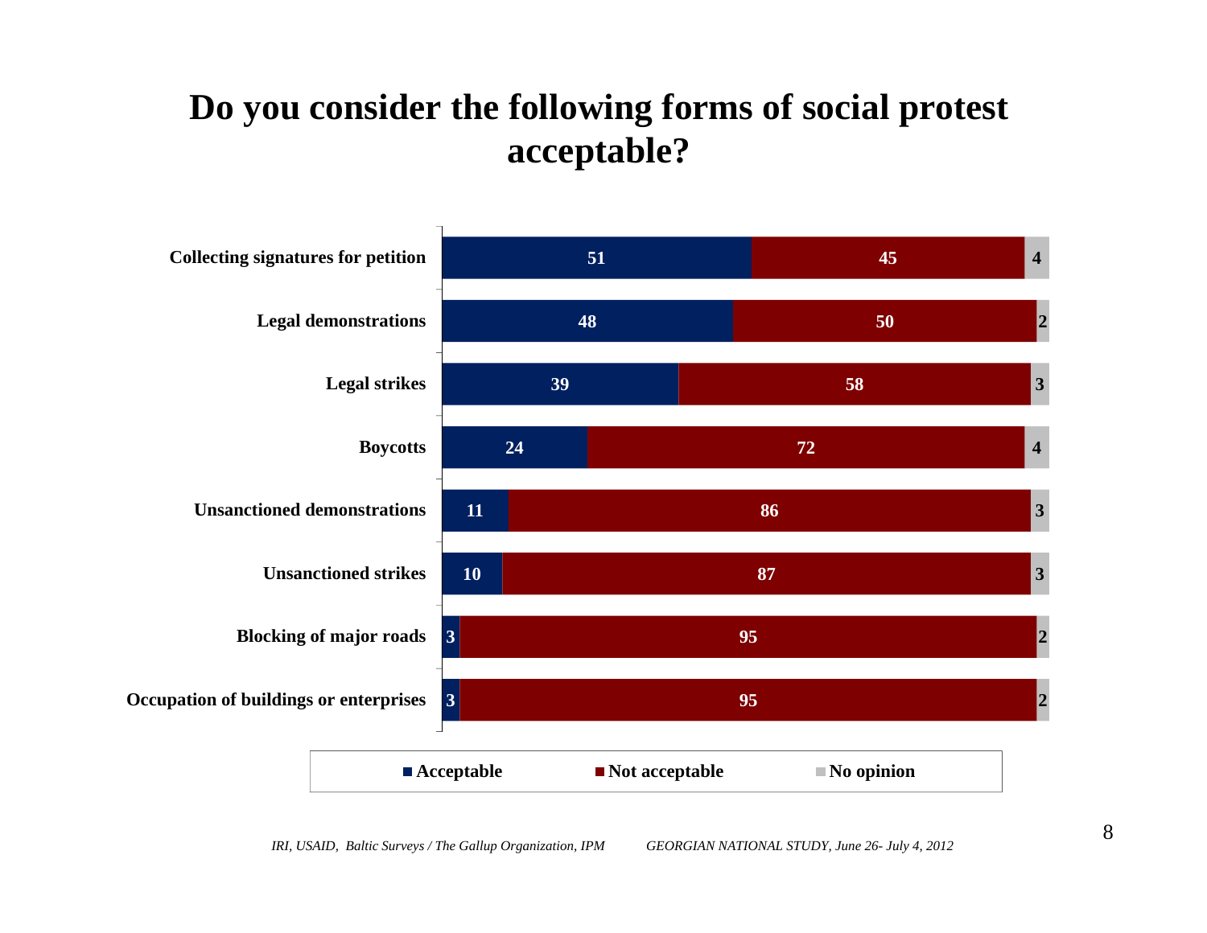# **Do you consider the following forms of social protest acceptable?**

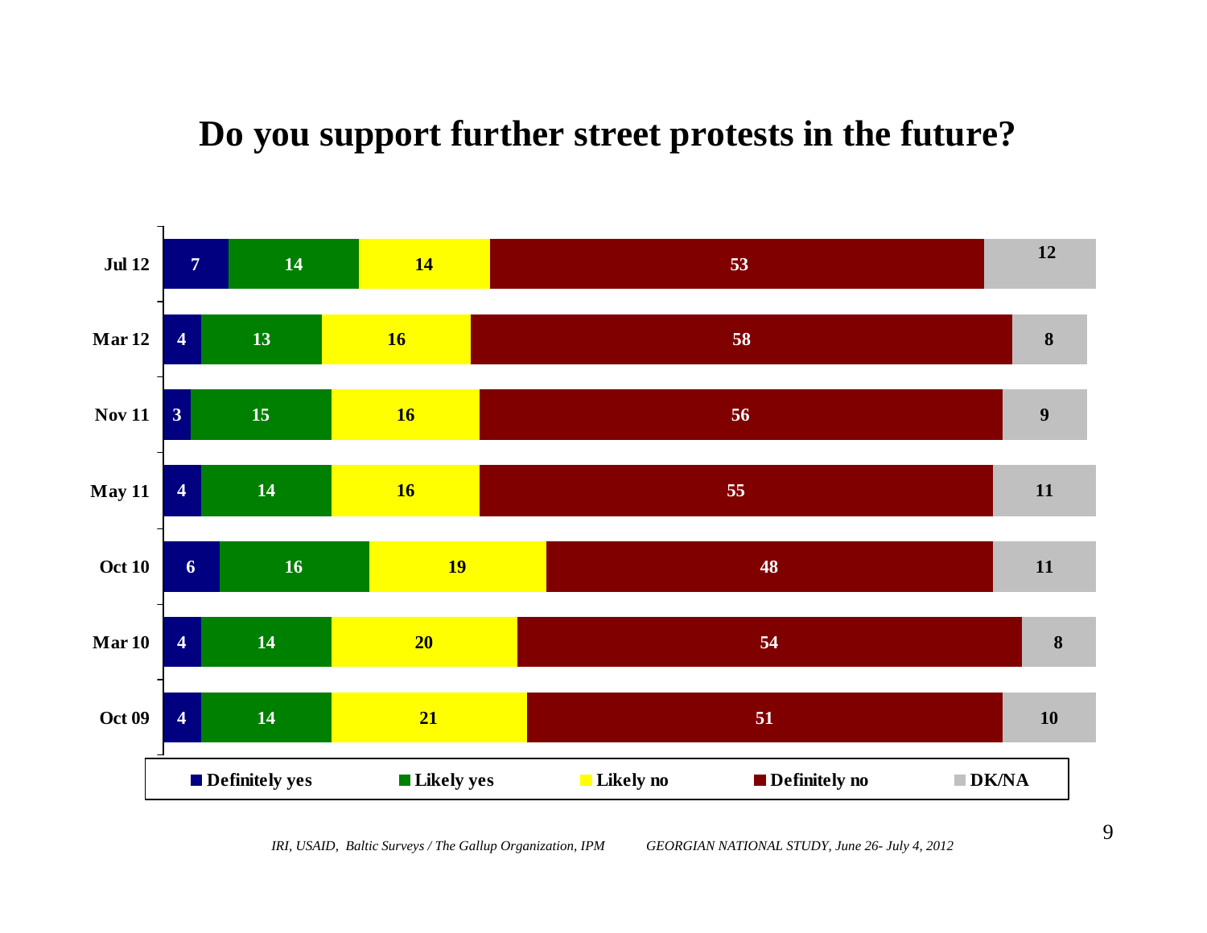#### **Do you support further street protests in the future?**



*IRI, USAID, Baltic Surveys / The Gallup Organization, IPM GEORGIAN NATIONAL STUDY, June 26- July 4, 2012*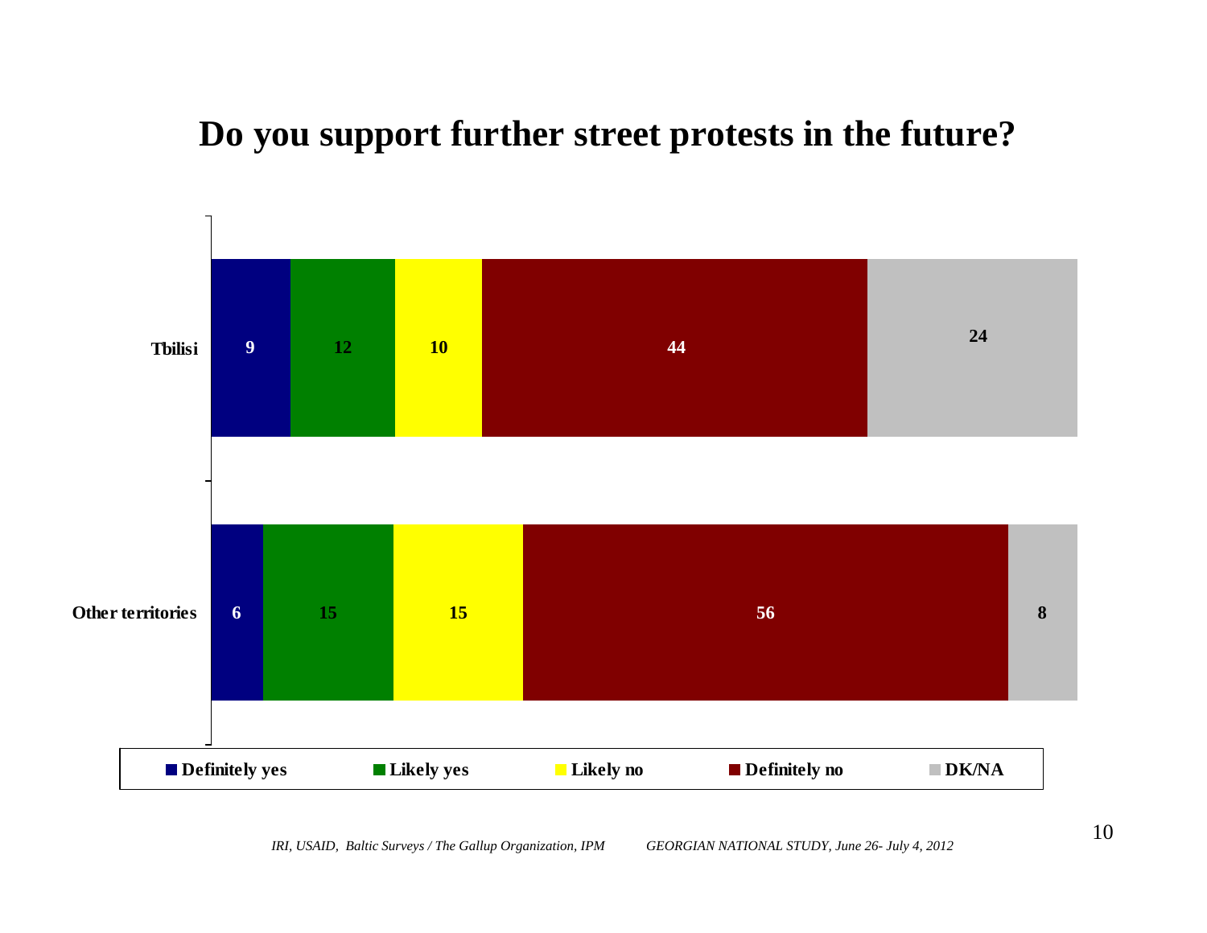#### **Do you support further street protests in the future?**

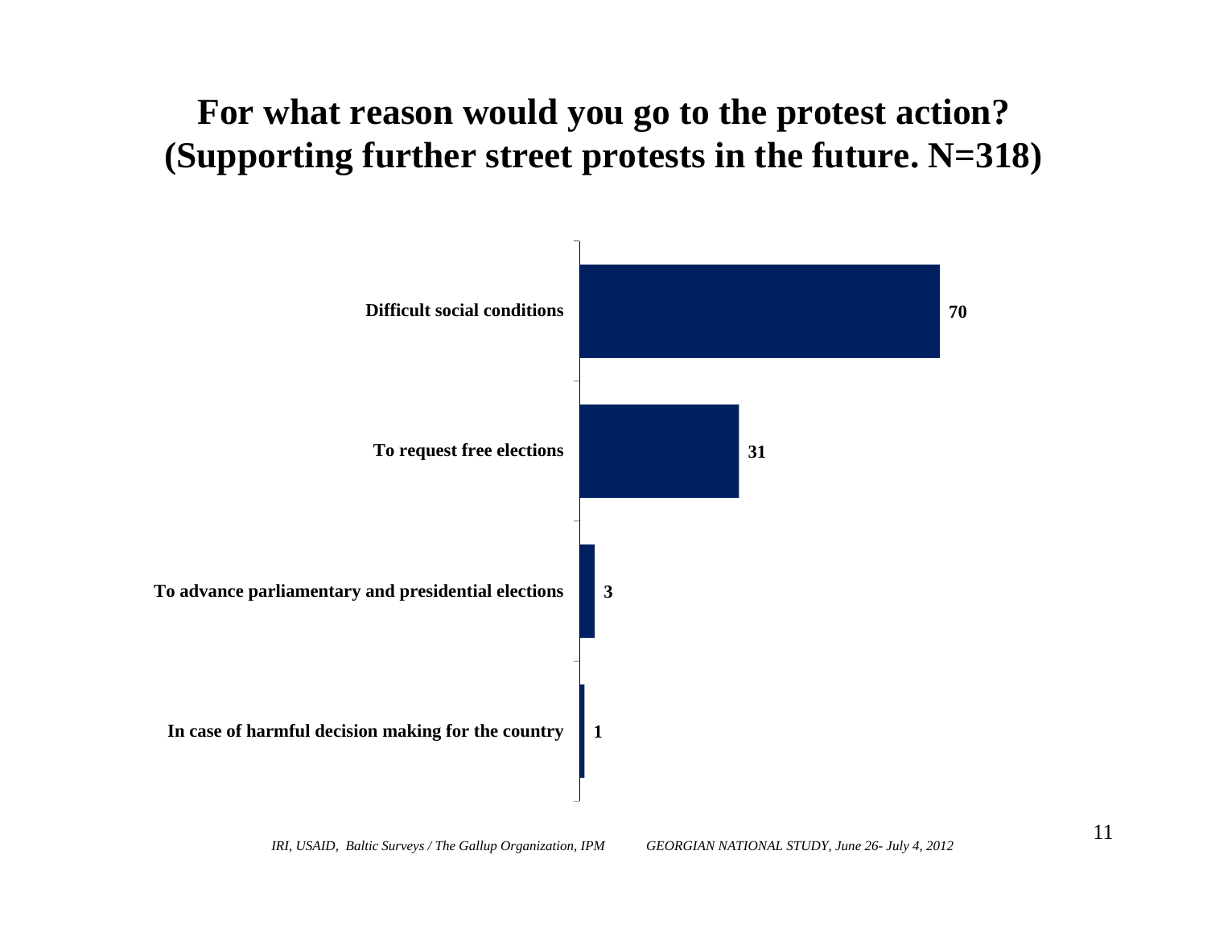### **For what reason would you go to the protest action? (Supporting further street protests in the future. N=318)**

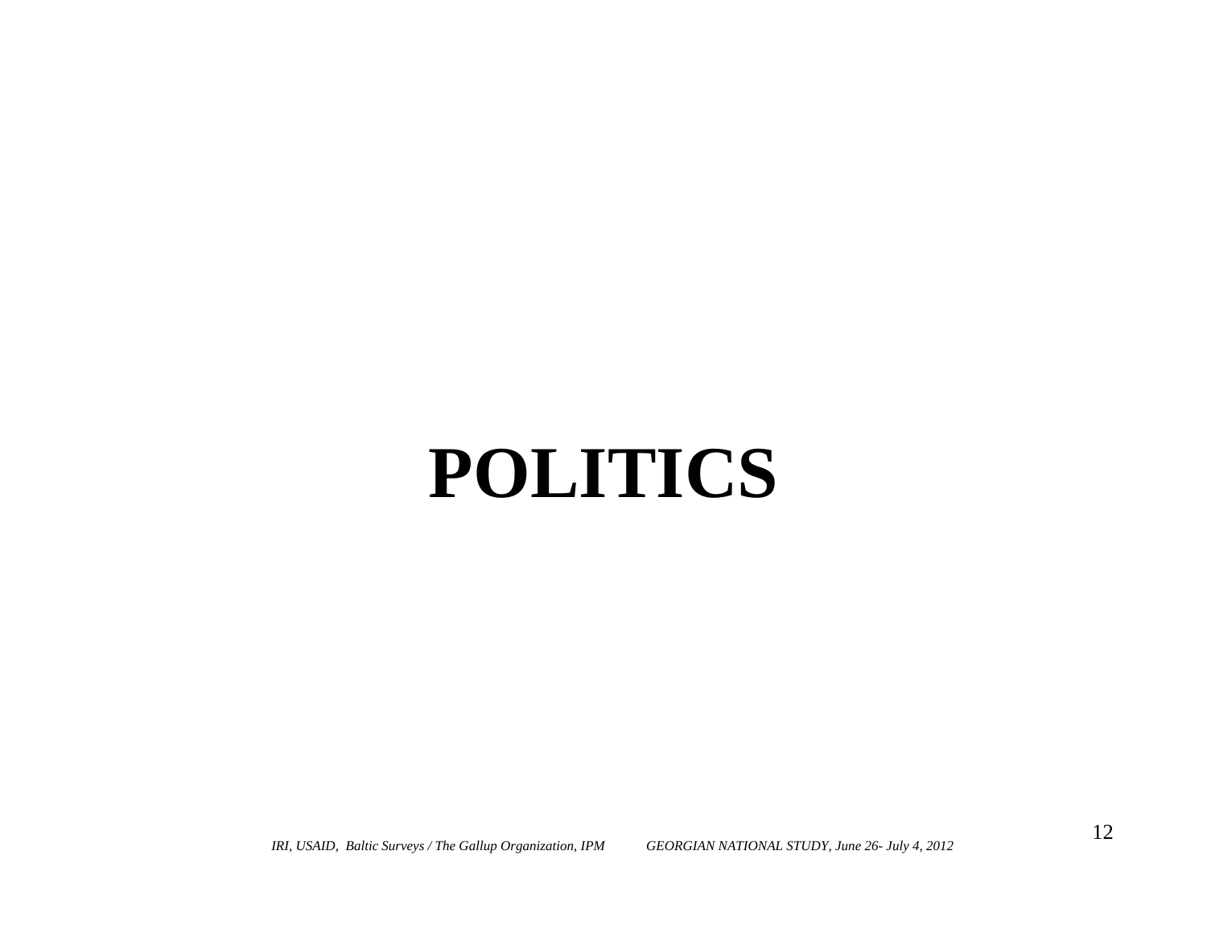# **POLITICS**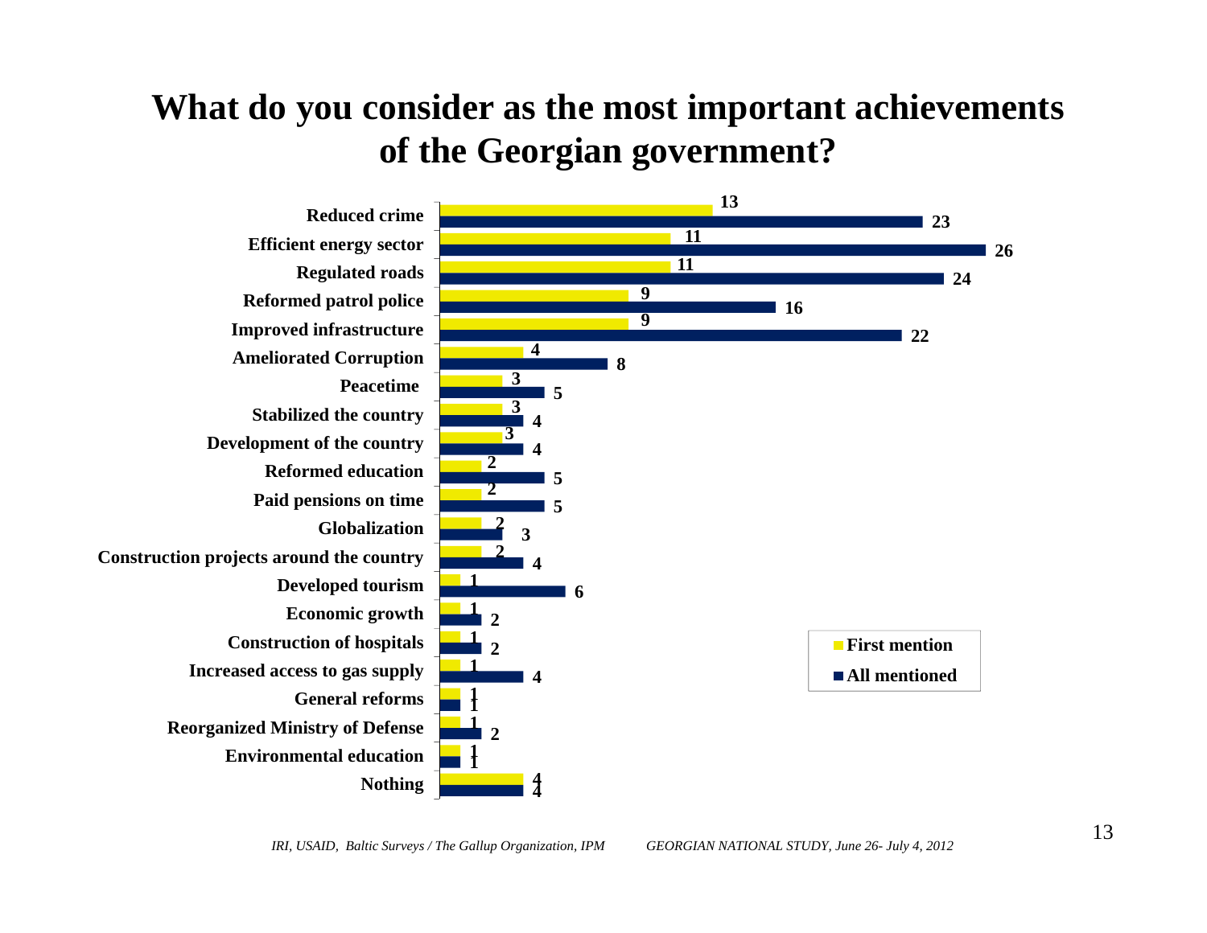# **What do you consider as the most important achievements of the Georgian government?**

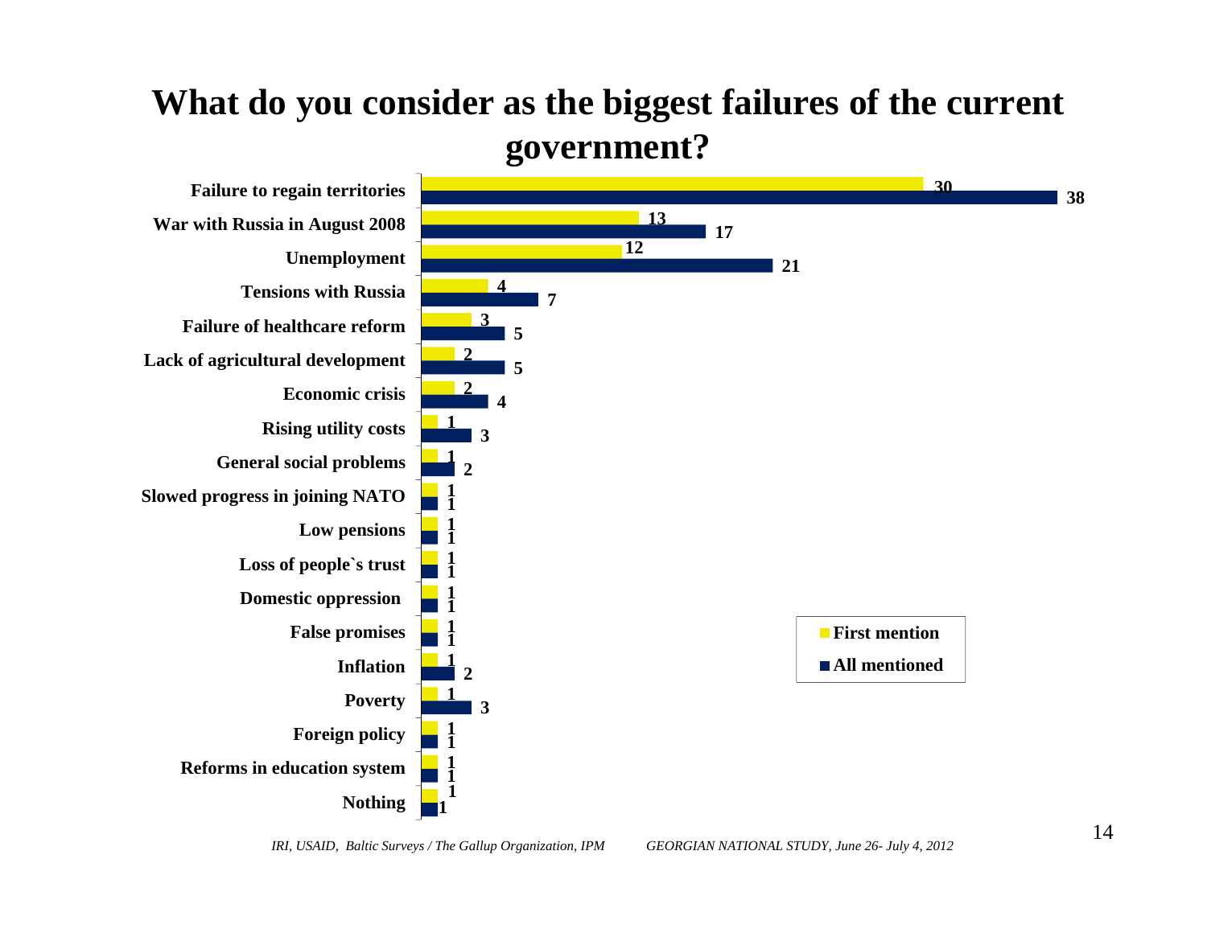### **What do you consider as the biggest failures of the current government?**

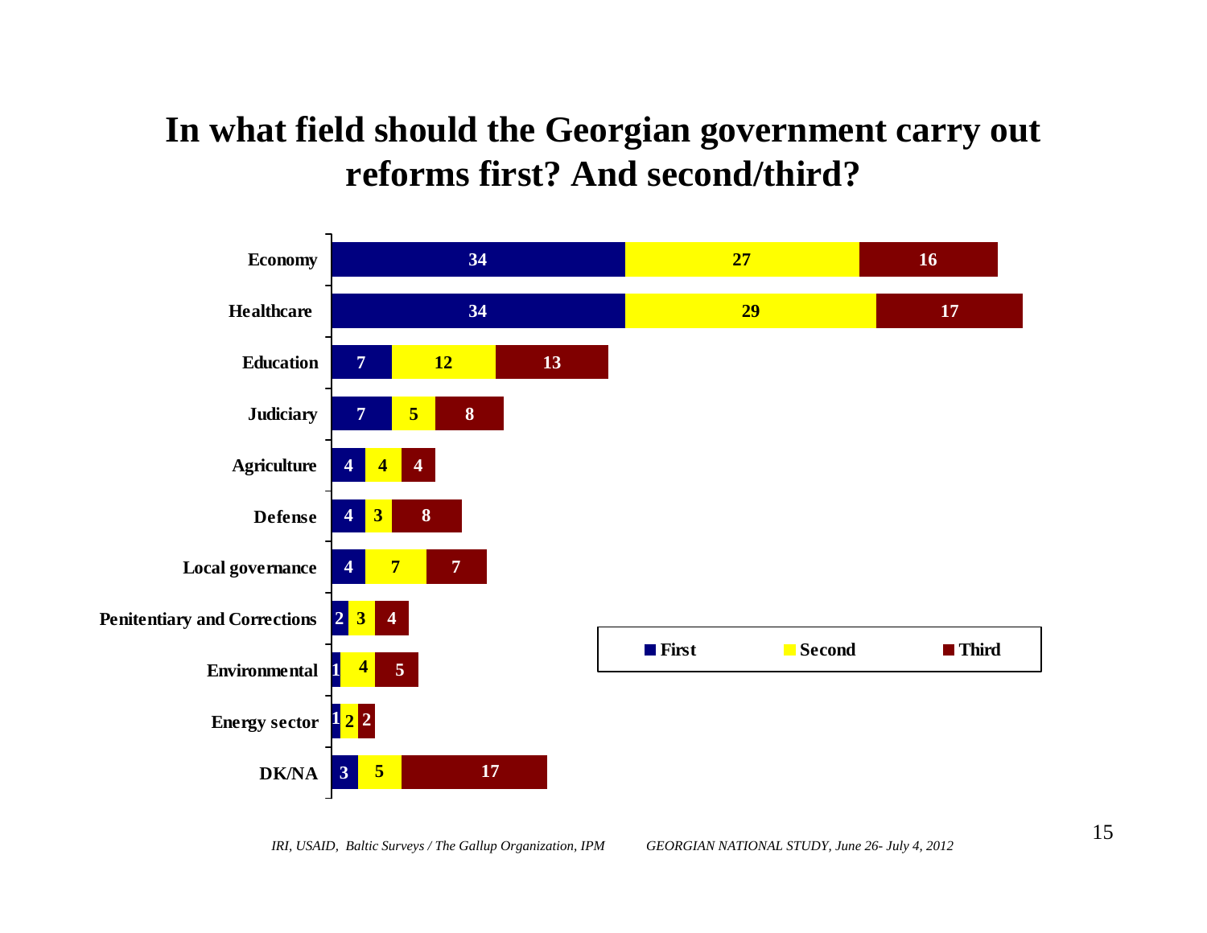### **In what field should the Georgian government carry out reforms first? And second/third?**

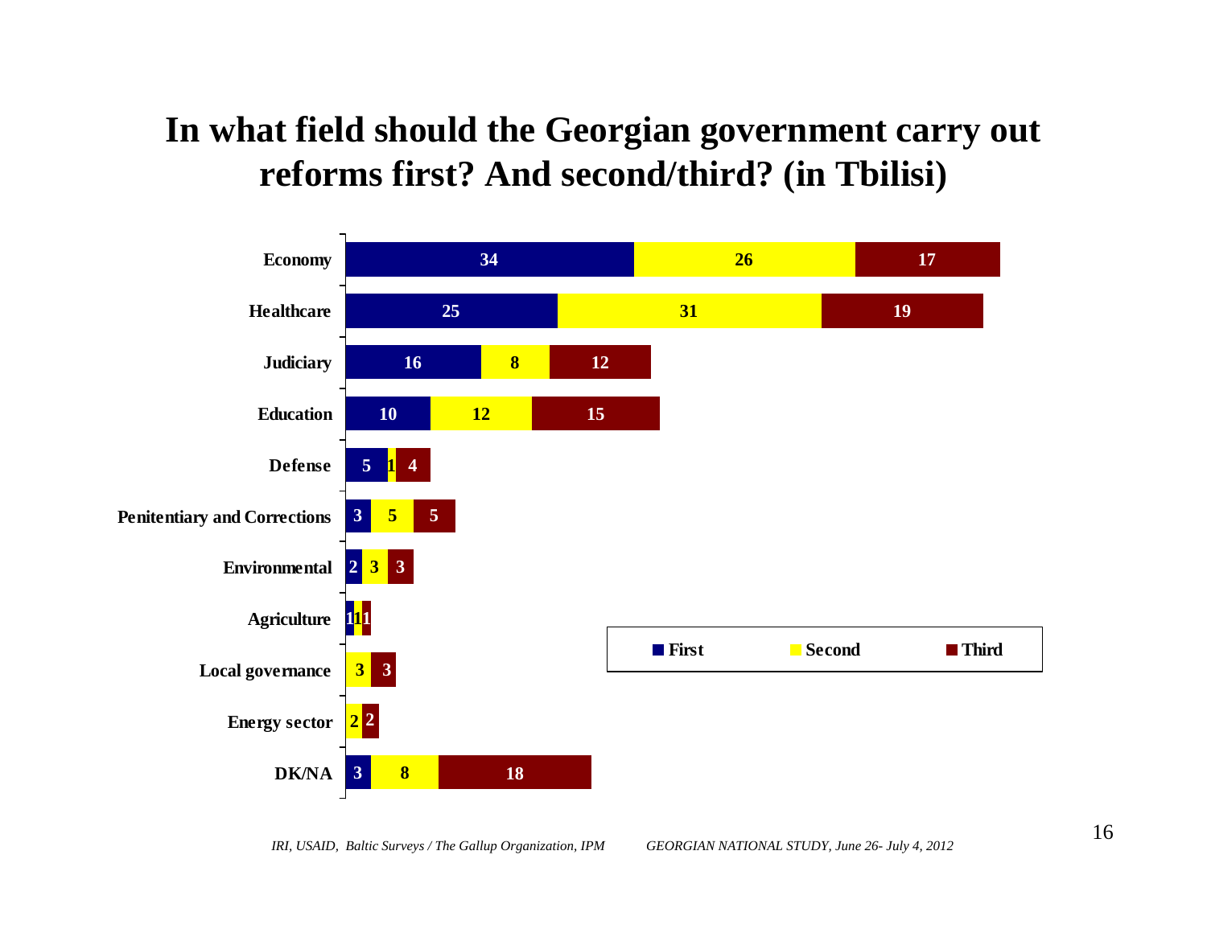#### **In what field should the Georgian government carry out reforms first? And second/third? (in Tbilisi)**

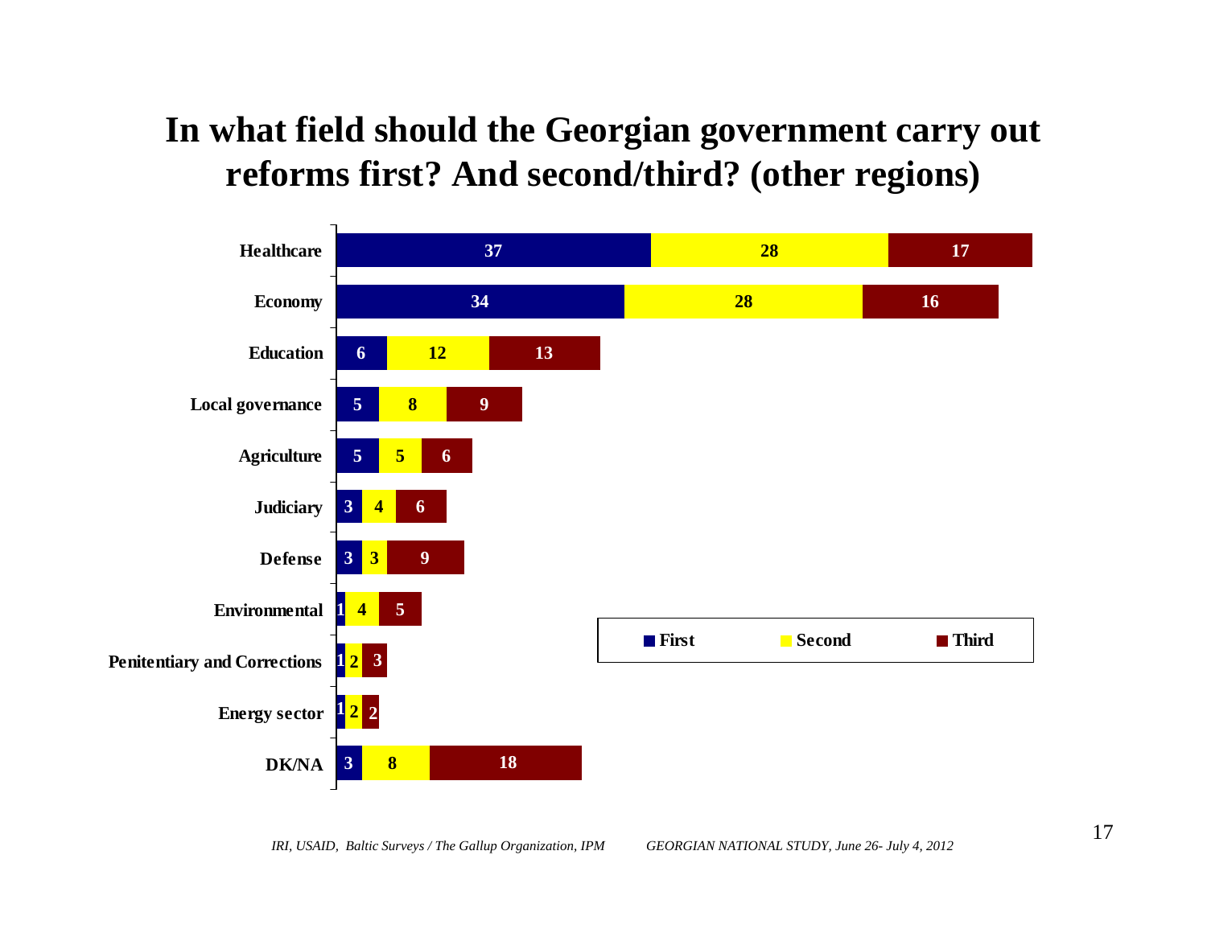#### **In what field should the Georgian government carry out reforms first? And second/third? (other regions)**

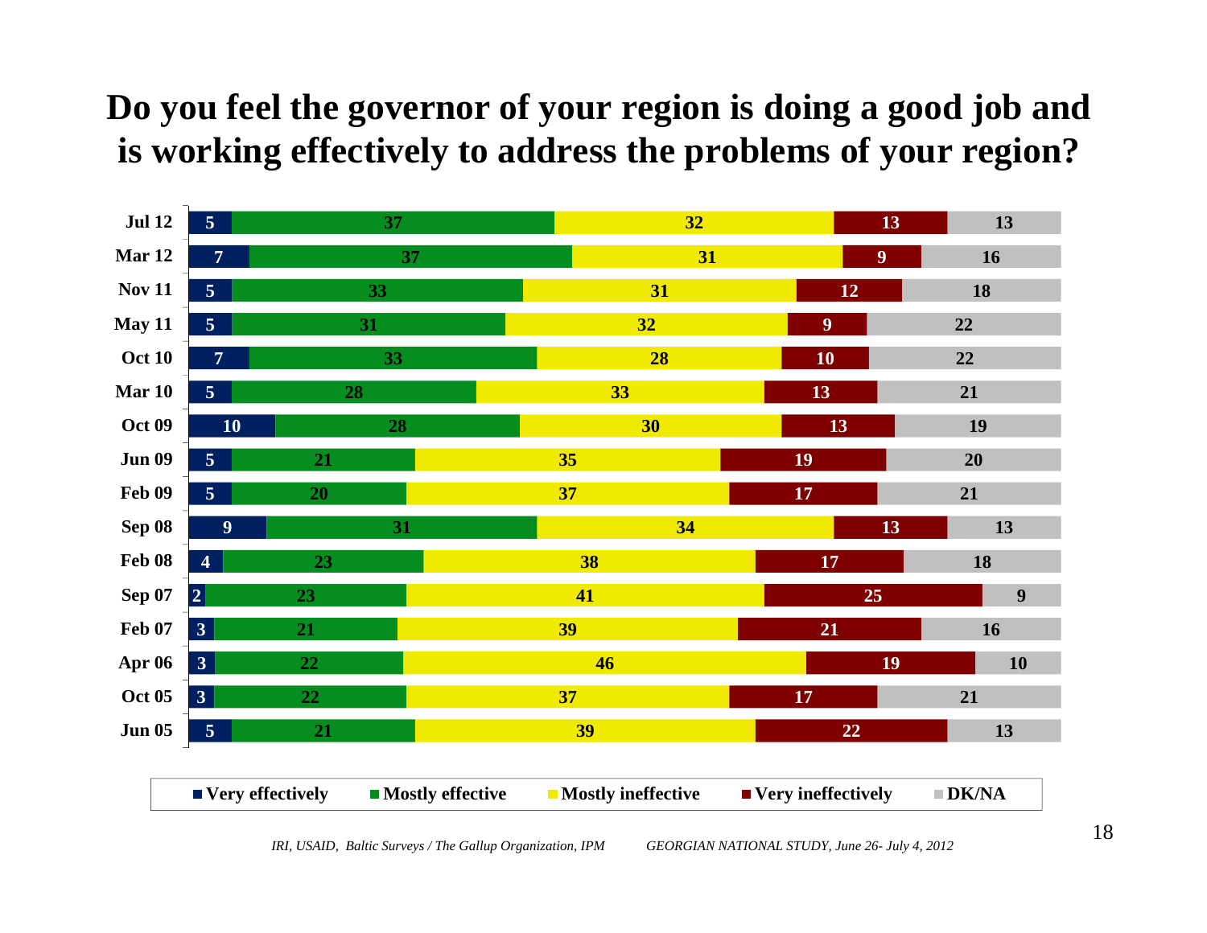# **Do you feel the governor of your region is doing a good job and is working effectively to address the problems of your region?**

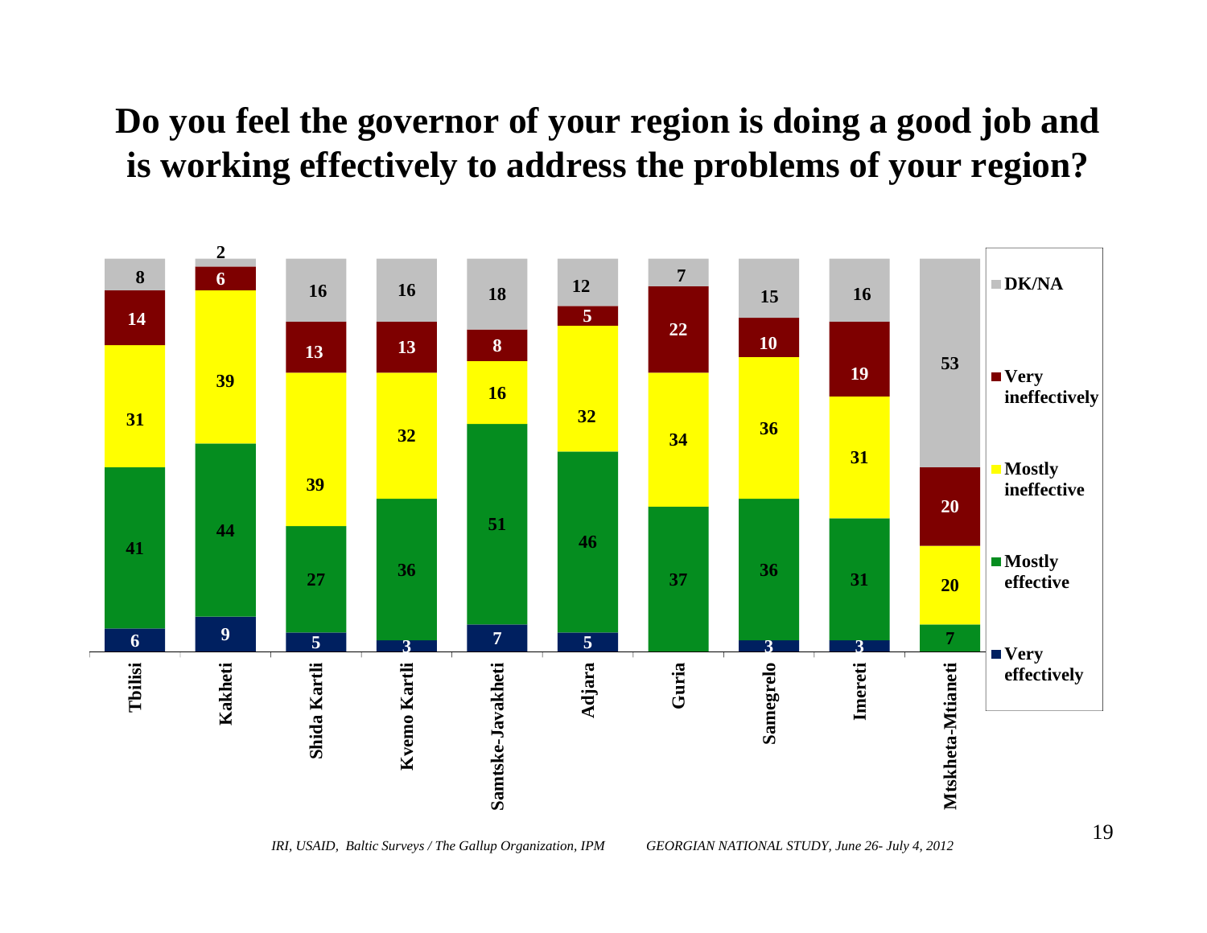# **Do you feel the governor of your region is doing a good job and is working effectively to address the problems of your region?**

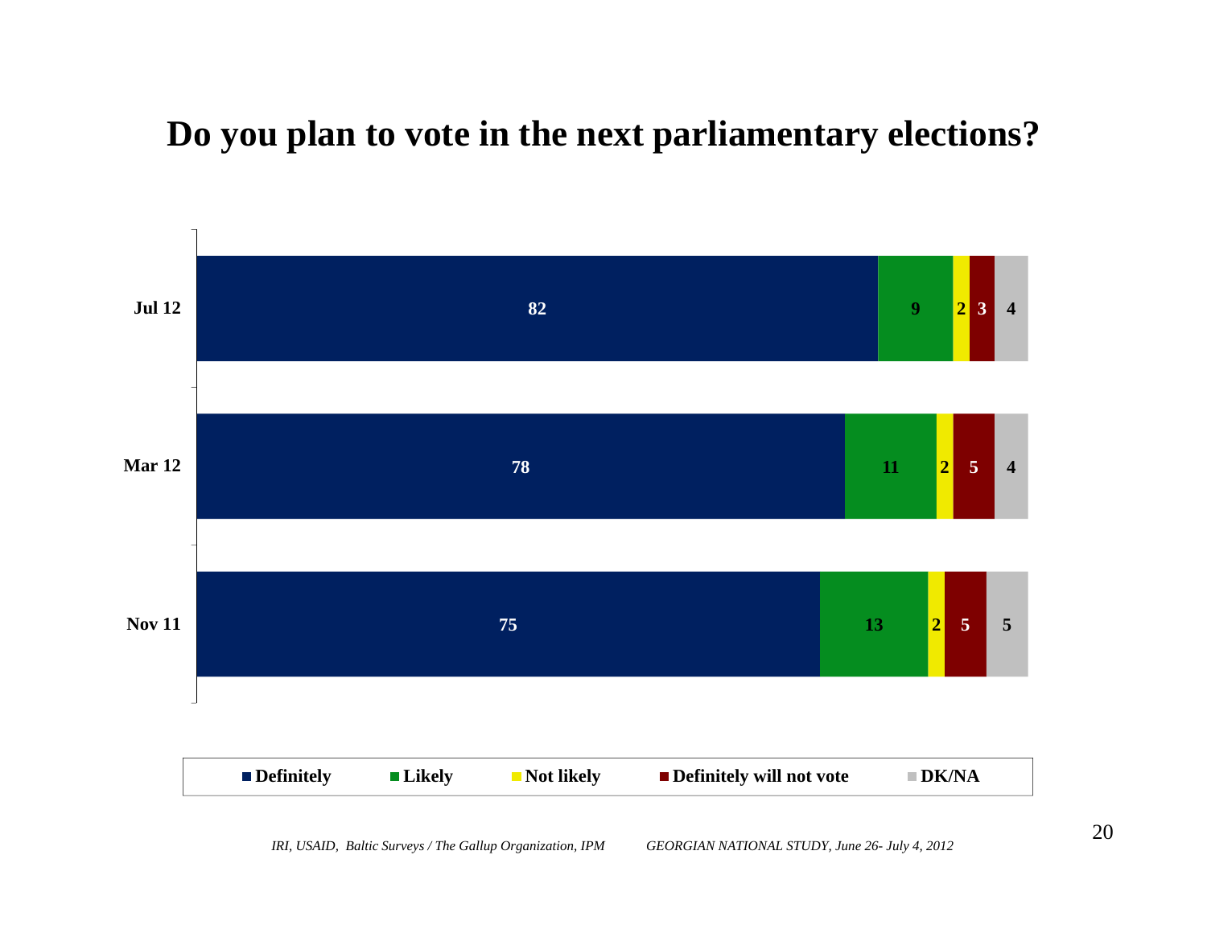#### **Do you plan to vote in the next parliamentary elections?**

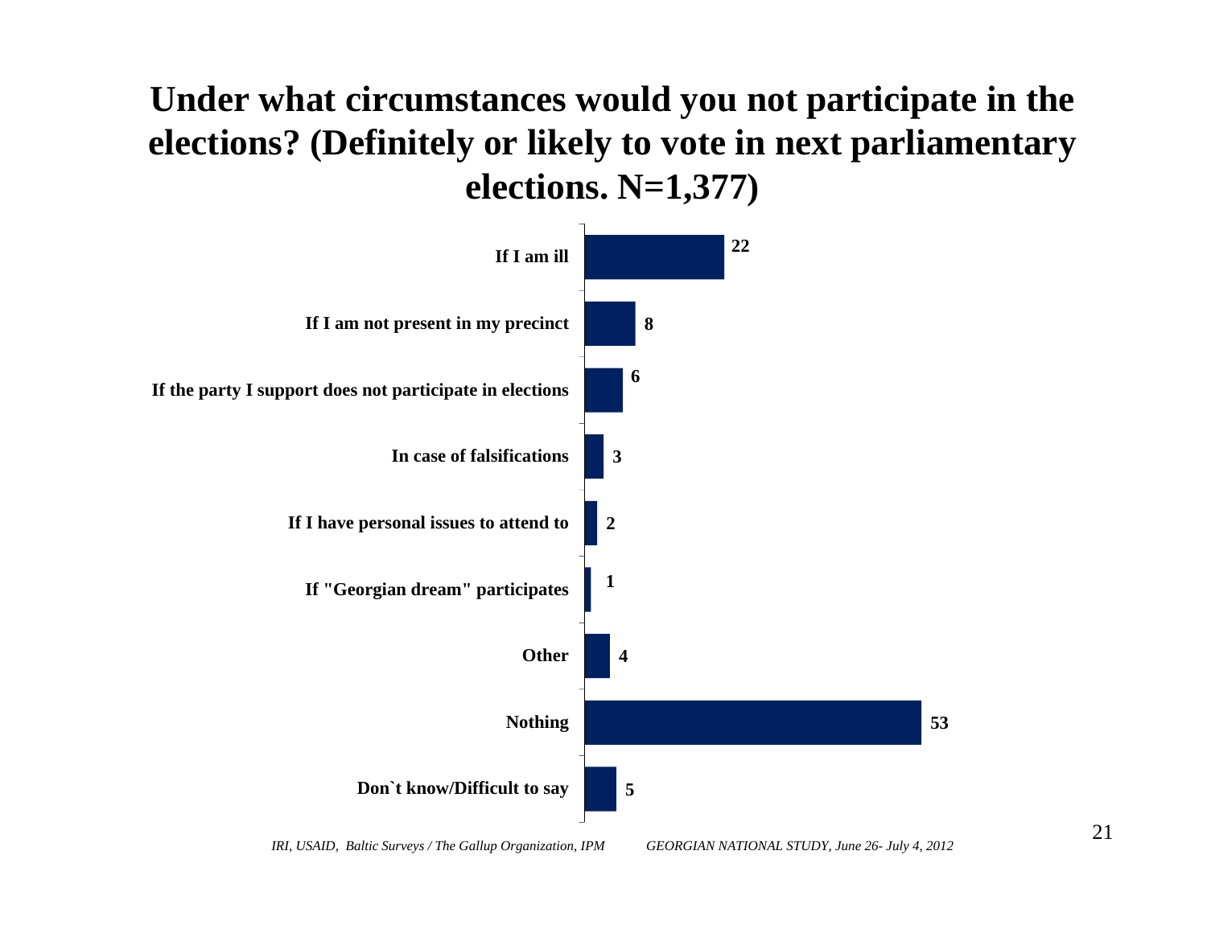# **Under what circumstances would you not participate in the elections? (Definitely or likely to vote in next parliamentary elections. N=1,377)**

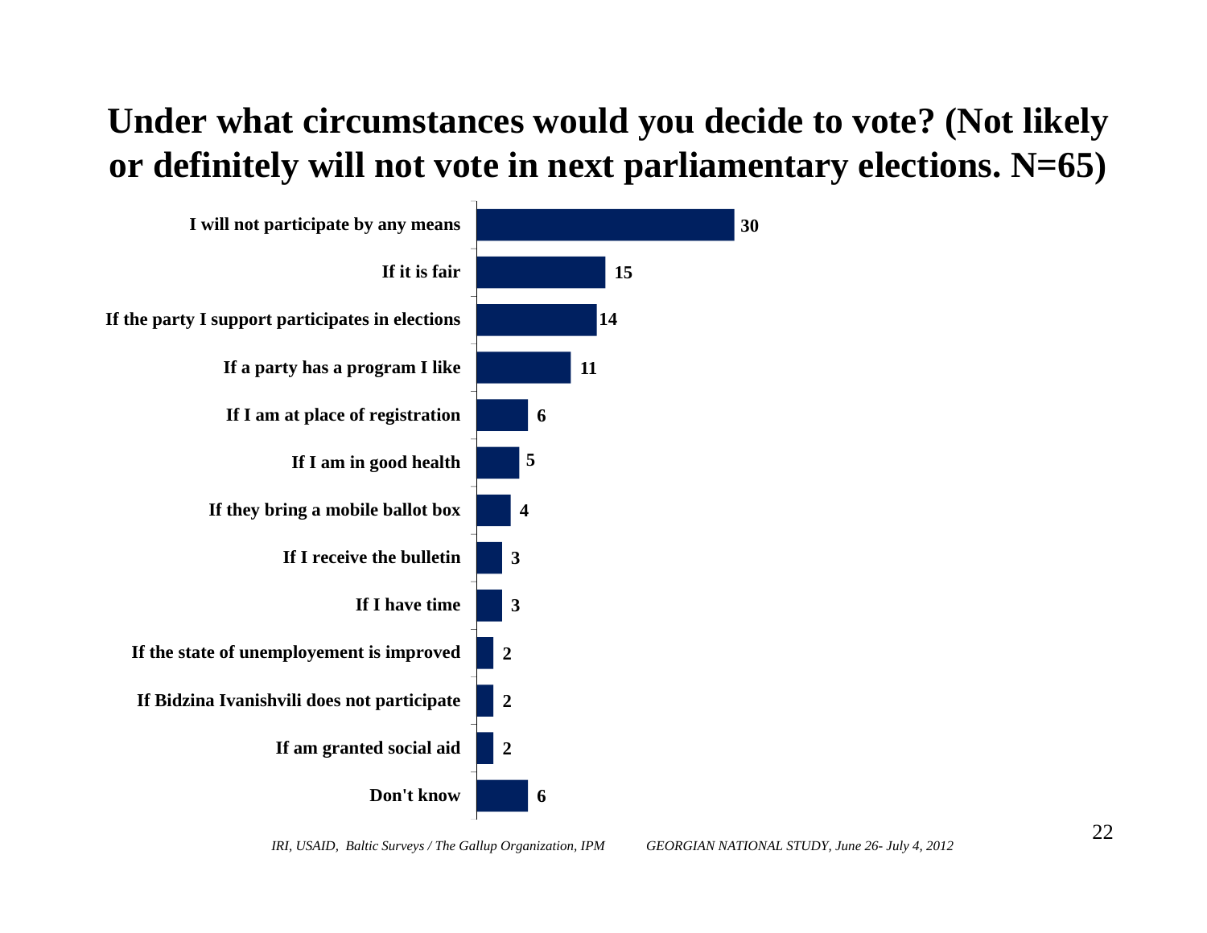# **Under what circumstances would you decide to vote? (Not likely or definitely will not vote in next parliamentary elections. N=65)**

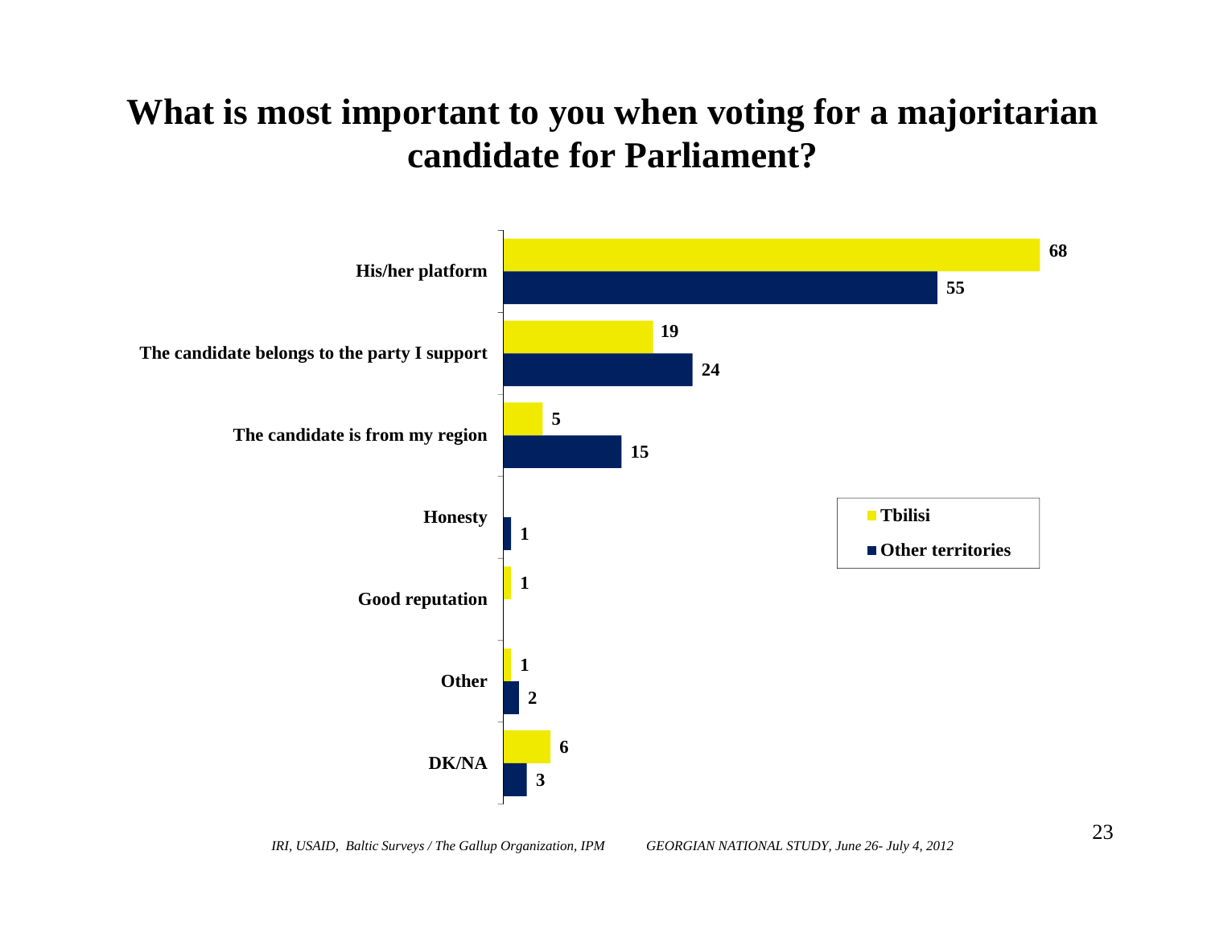### **What is most important to you when voting for a majoritarian candidate for Parliament?**

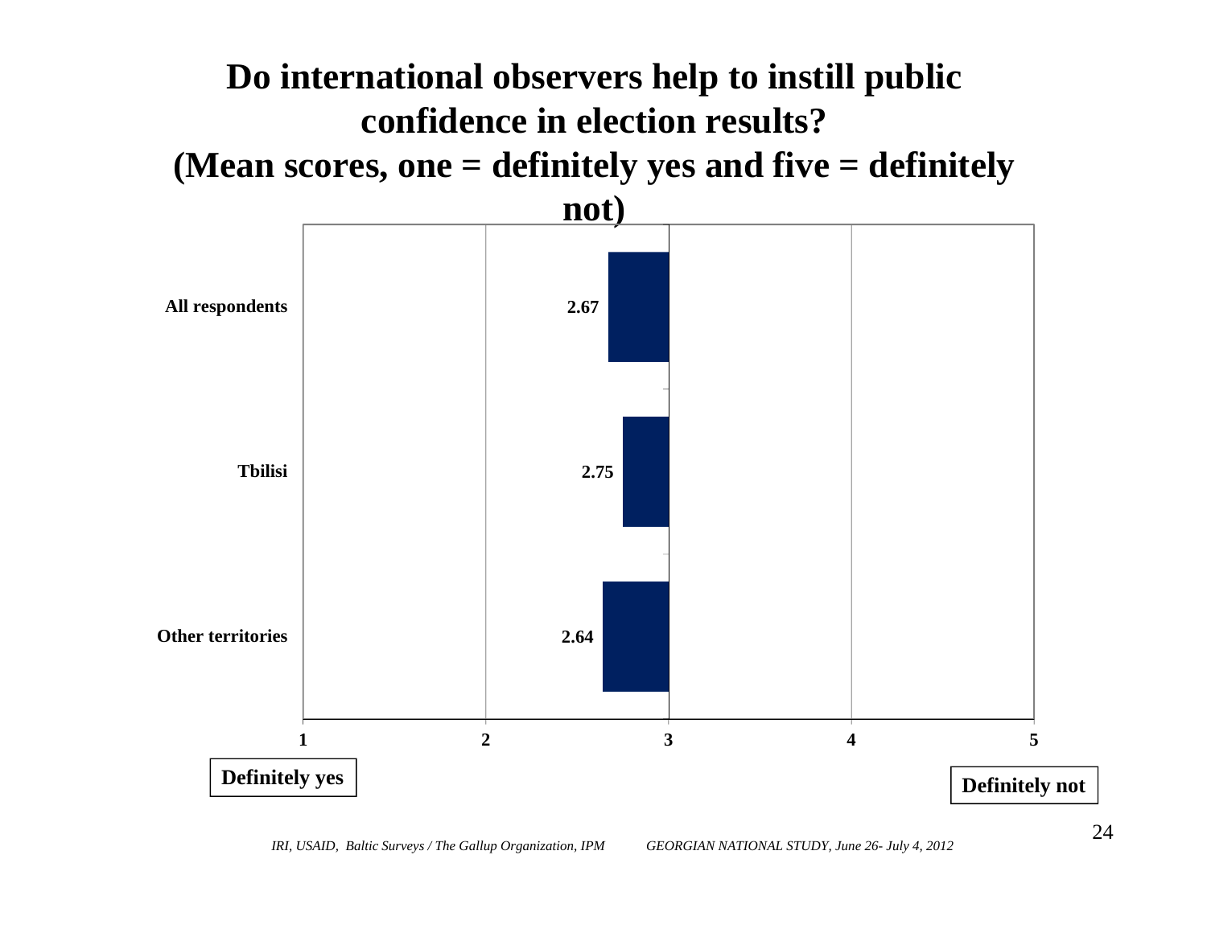

*IRI, USAID, Baltic Surveys / The Gallup Organization, IPM GEORGIAN NATIONAL STUDY, June 26- July 4, 2012*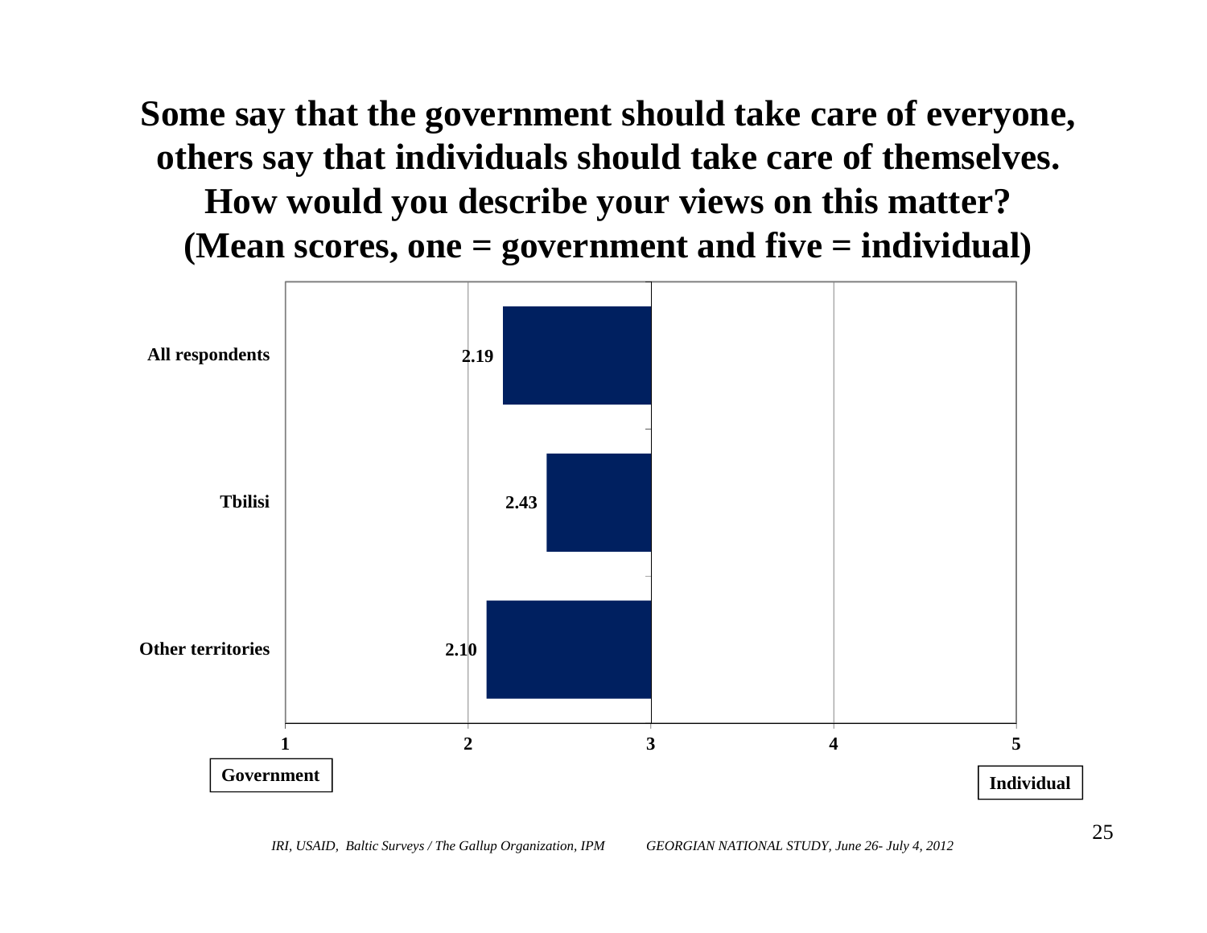**Some say that the government should take care of everyone, others say that individuals should take care of themselves. How would you describe your views on this matter? (Mean scores, one = government and five = individual)**



*IRI, USAID, Baltic Surveys / The Gallup Organization, IPM GEORGIAN NATIONAL STUDY, June 26- July 4, 2012*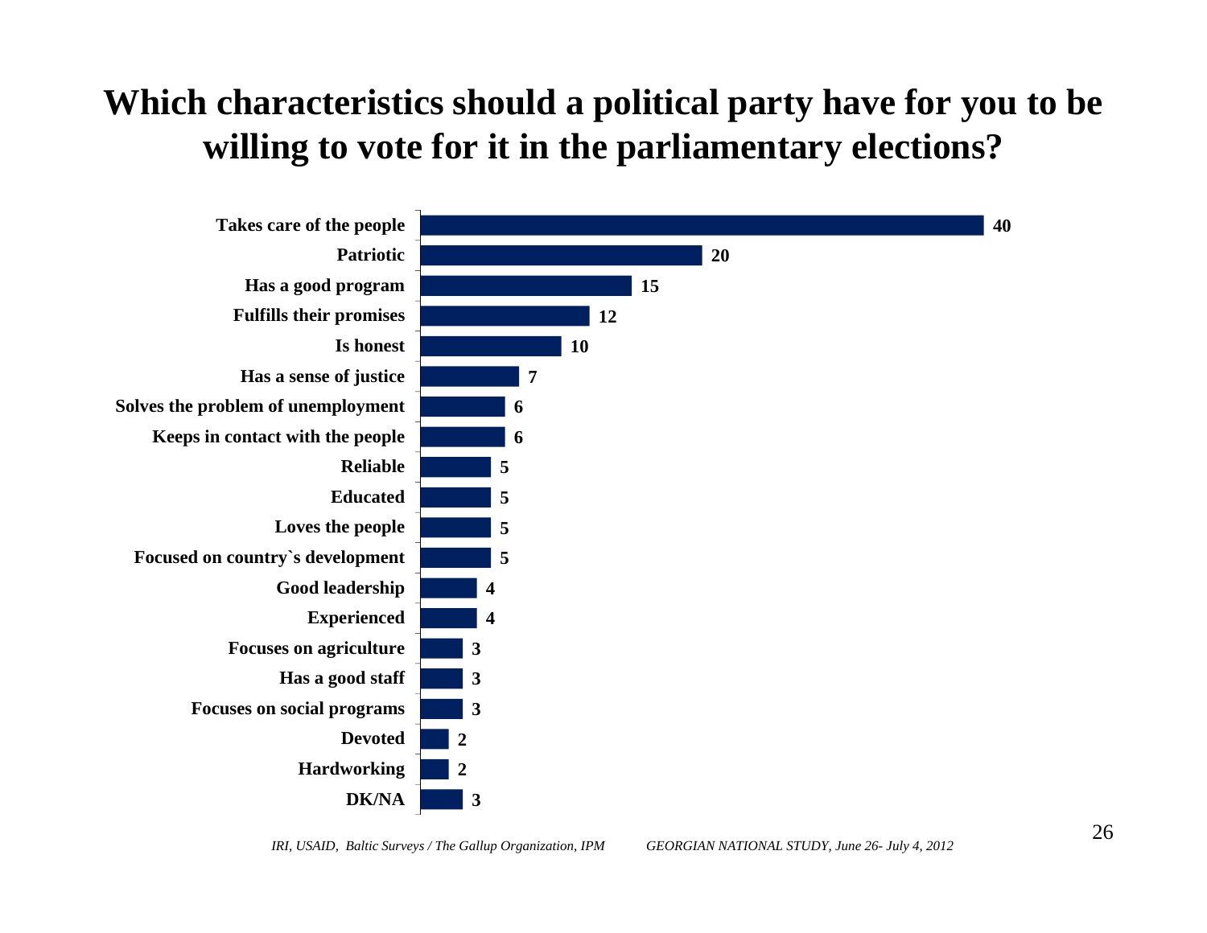# **Which characteristics should a political party have for you to be willing to vote for it in the parliamentary elections?**

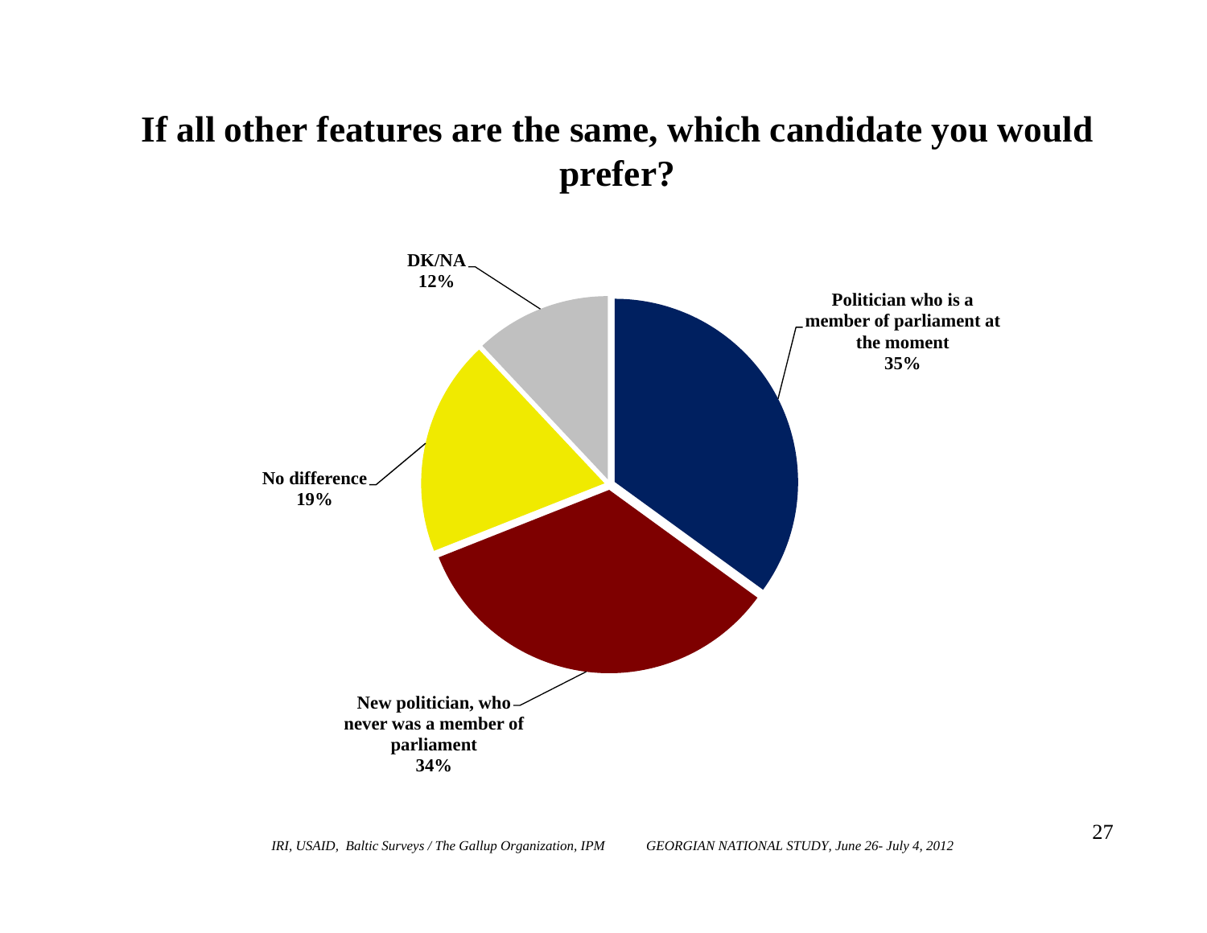### **If all other features are the same, which candidate you would prefer?**

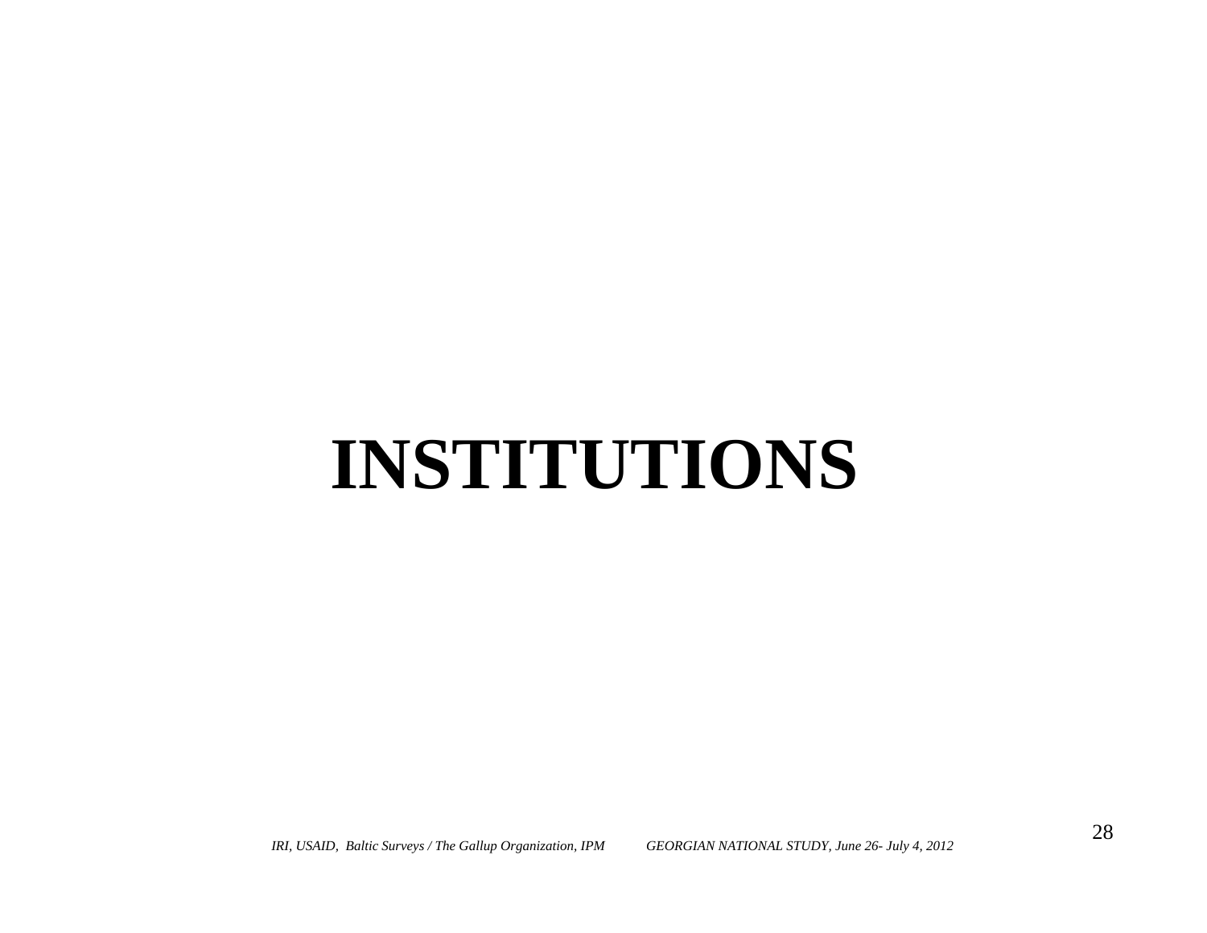# **INSTITUTIONS**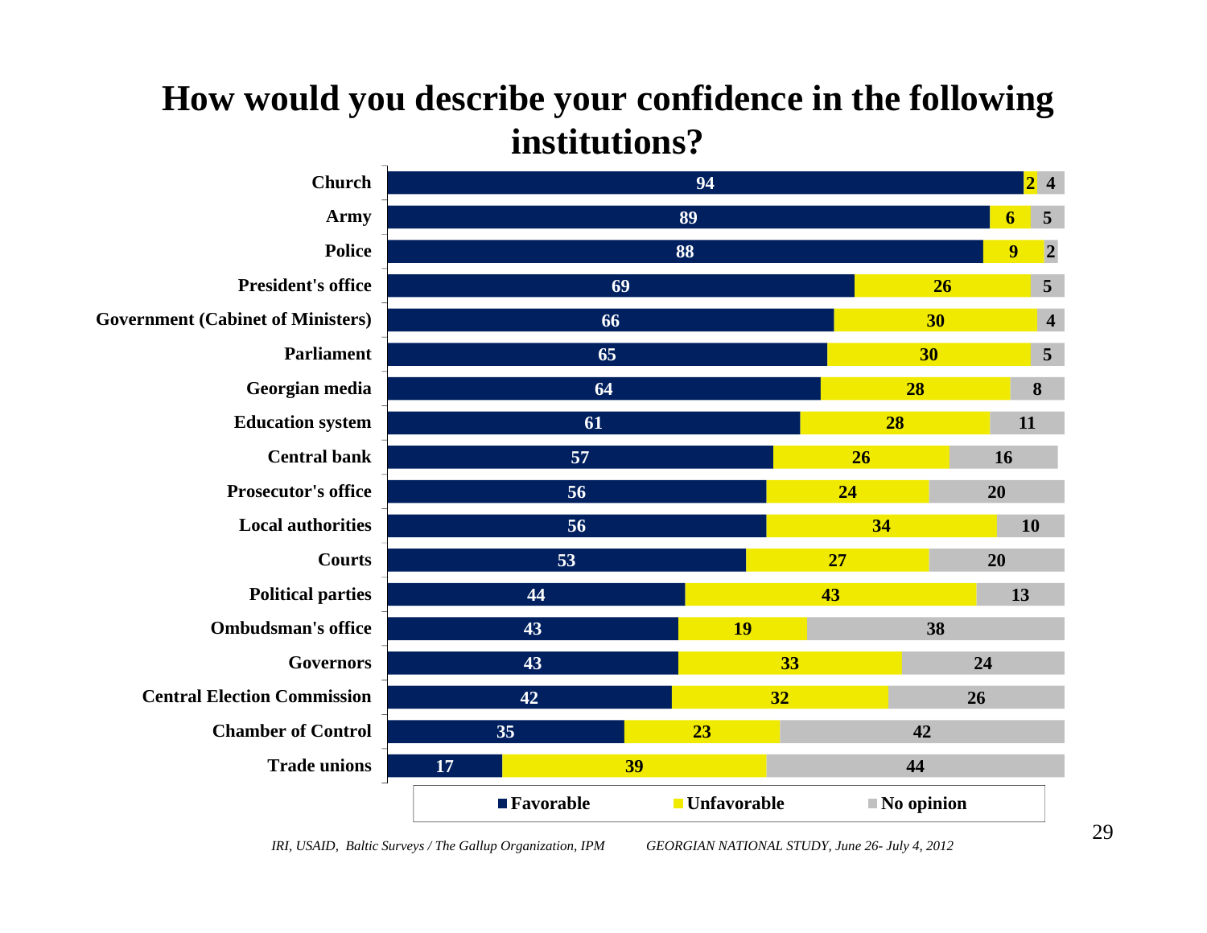#### **4 5 2 5 ChurchArmy PolicePresident's office Government (Cabinet of Ministers) ParliamentGeorgian media Education system Central bankProsecutor's officeLocal authoritiesCourtsPolitical parties Ombudsman's officeGovernorsCentral Election CommissionChamber of Control Trade unions**■**Favorable Unfavorable No opinion**

### **How would you describe your confidence in the following institutions?**

*IRI, USAID, Baltic Surveys / The Gallup Organization, IPM GEORGIAN NATIONAL STUDY, June 26- July 4, 2012*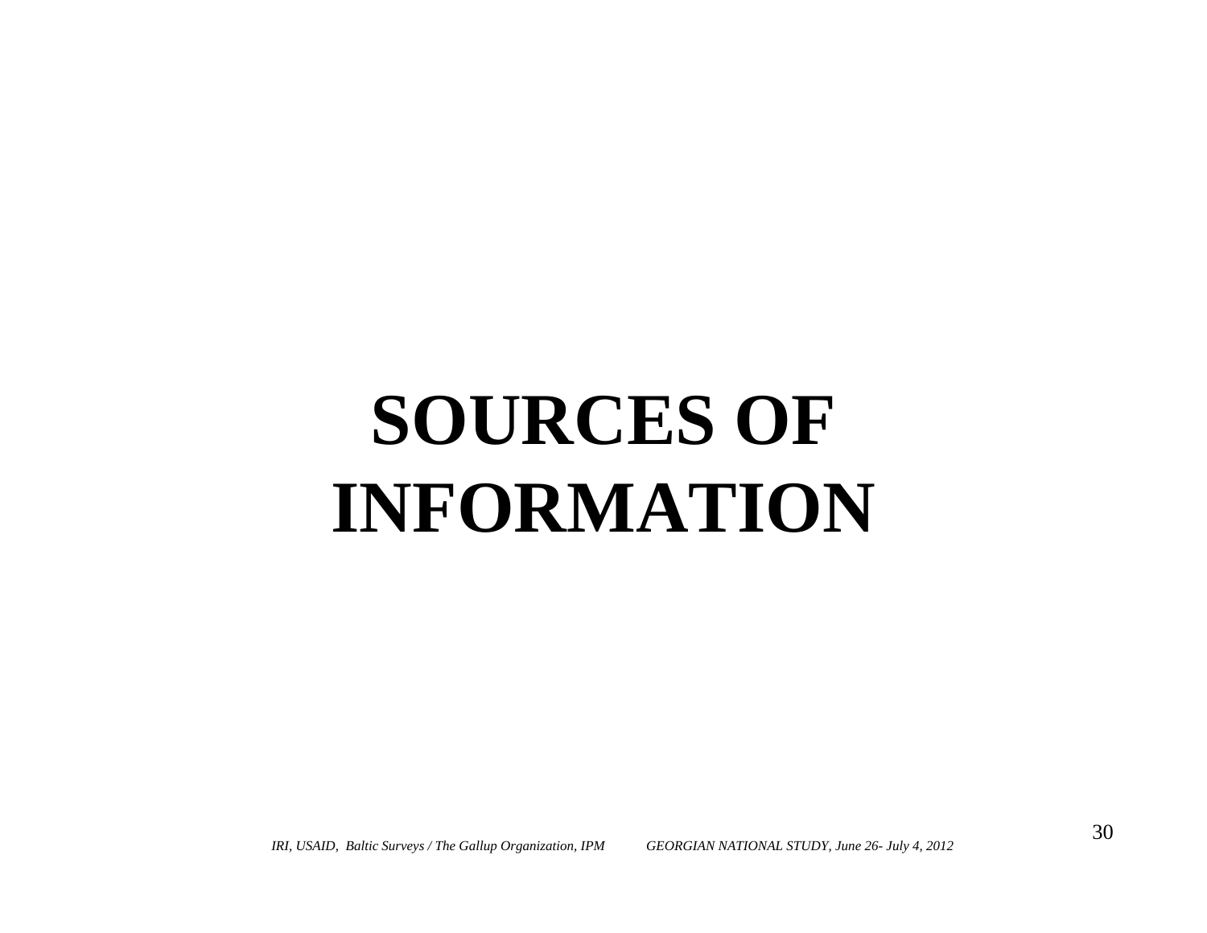# **SOURCES OF INFORMATION**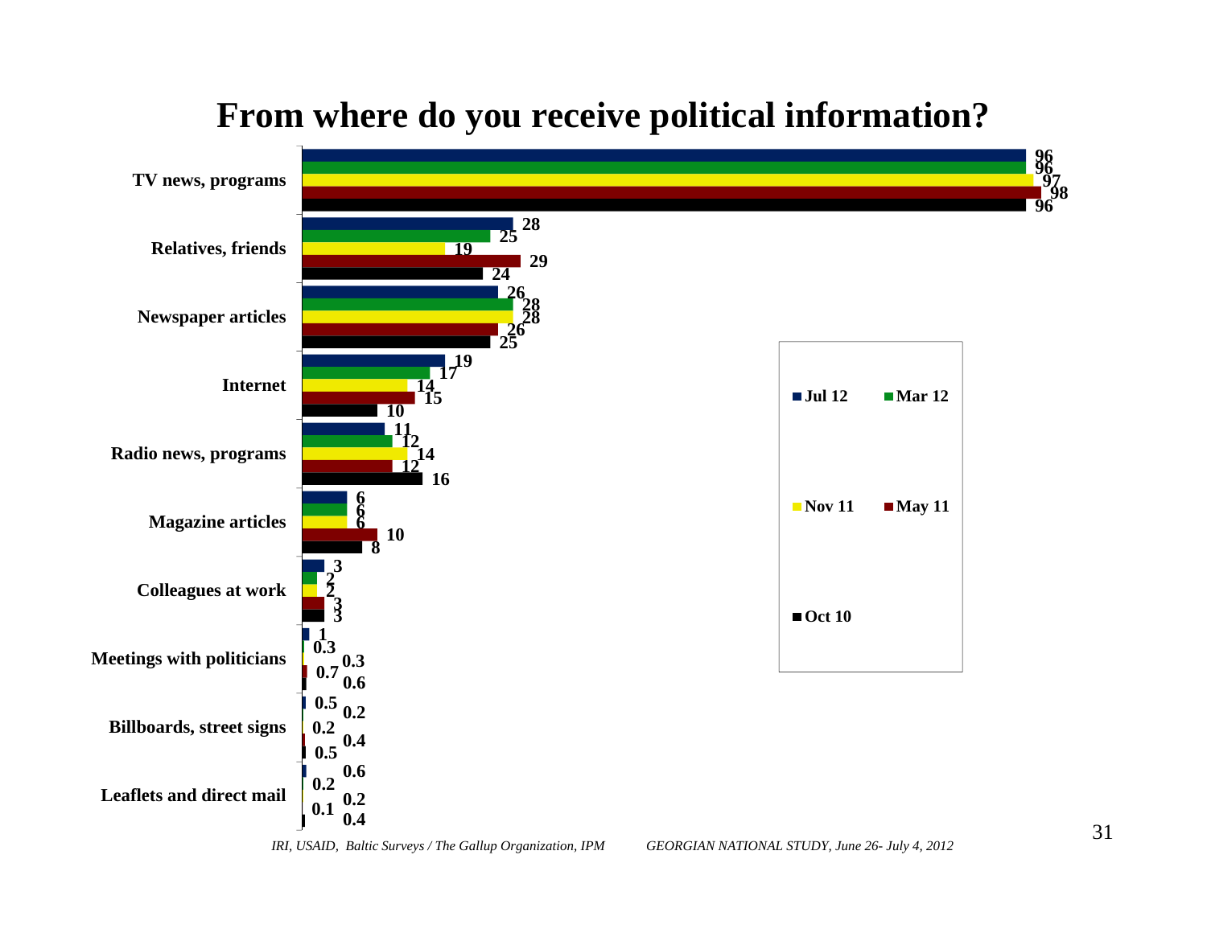

#### **From where do you receive political information?**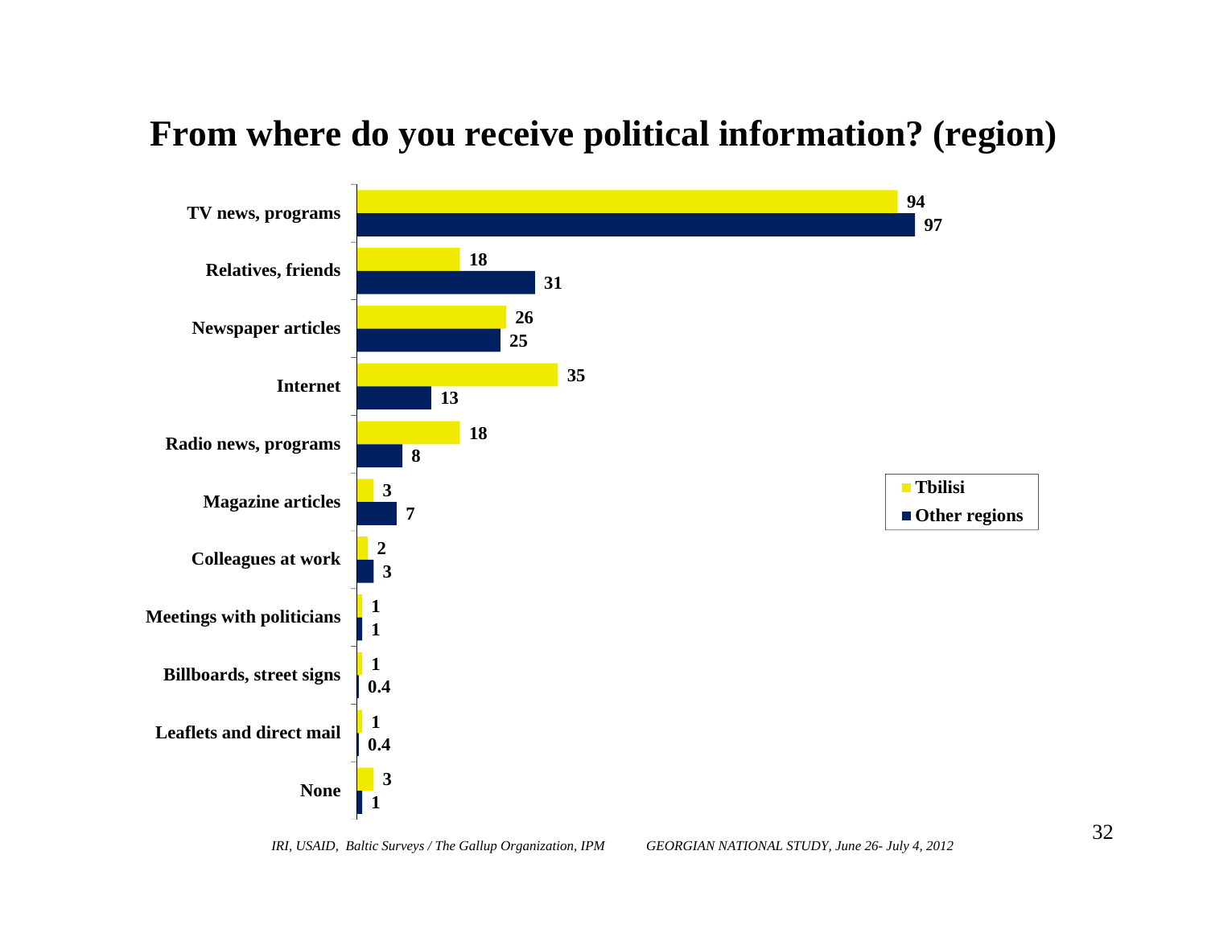#### **From where do you receive political information? (region)**

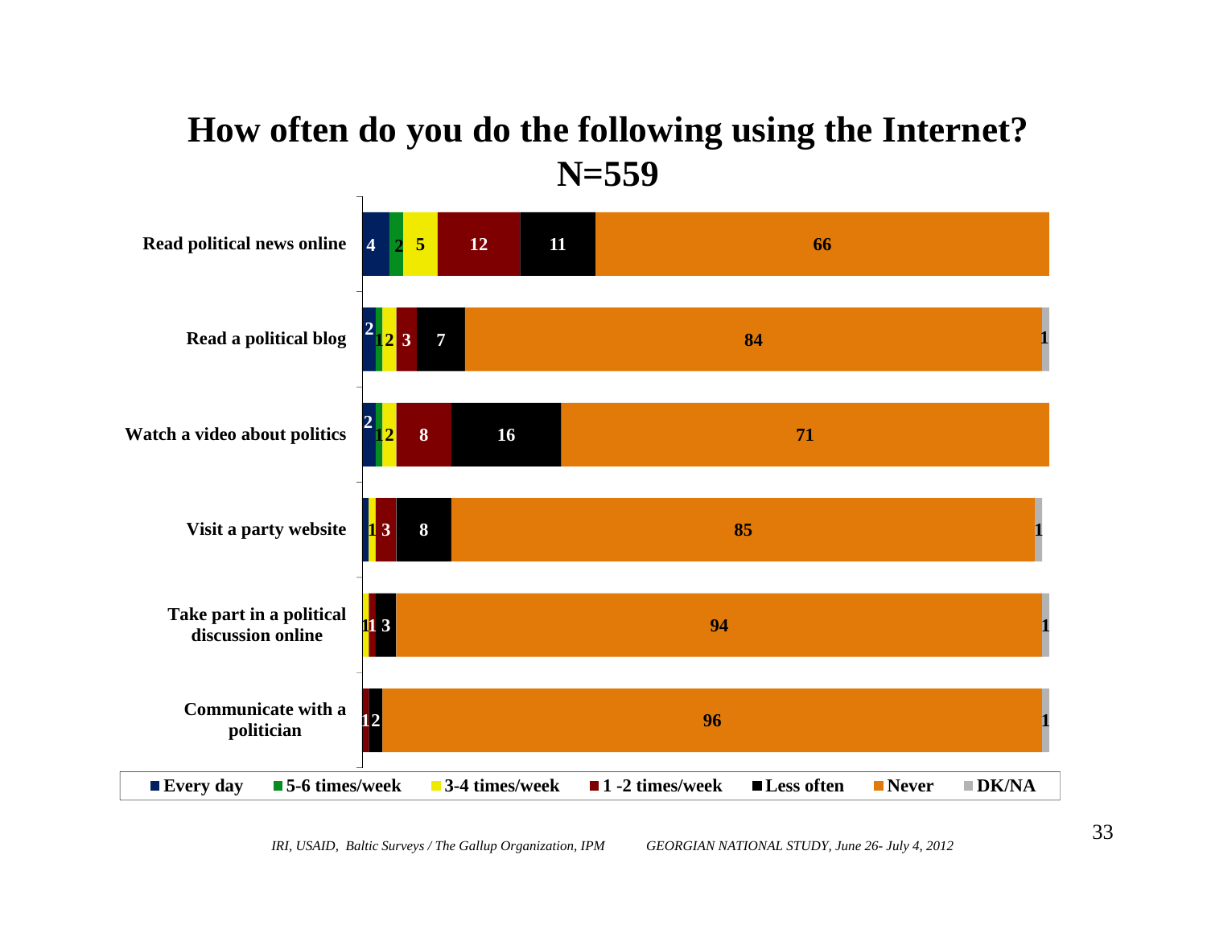#### **How often do you do the following using the Internet? N=559**

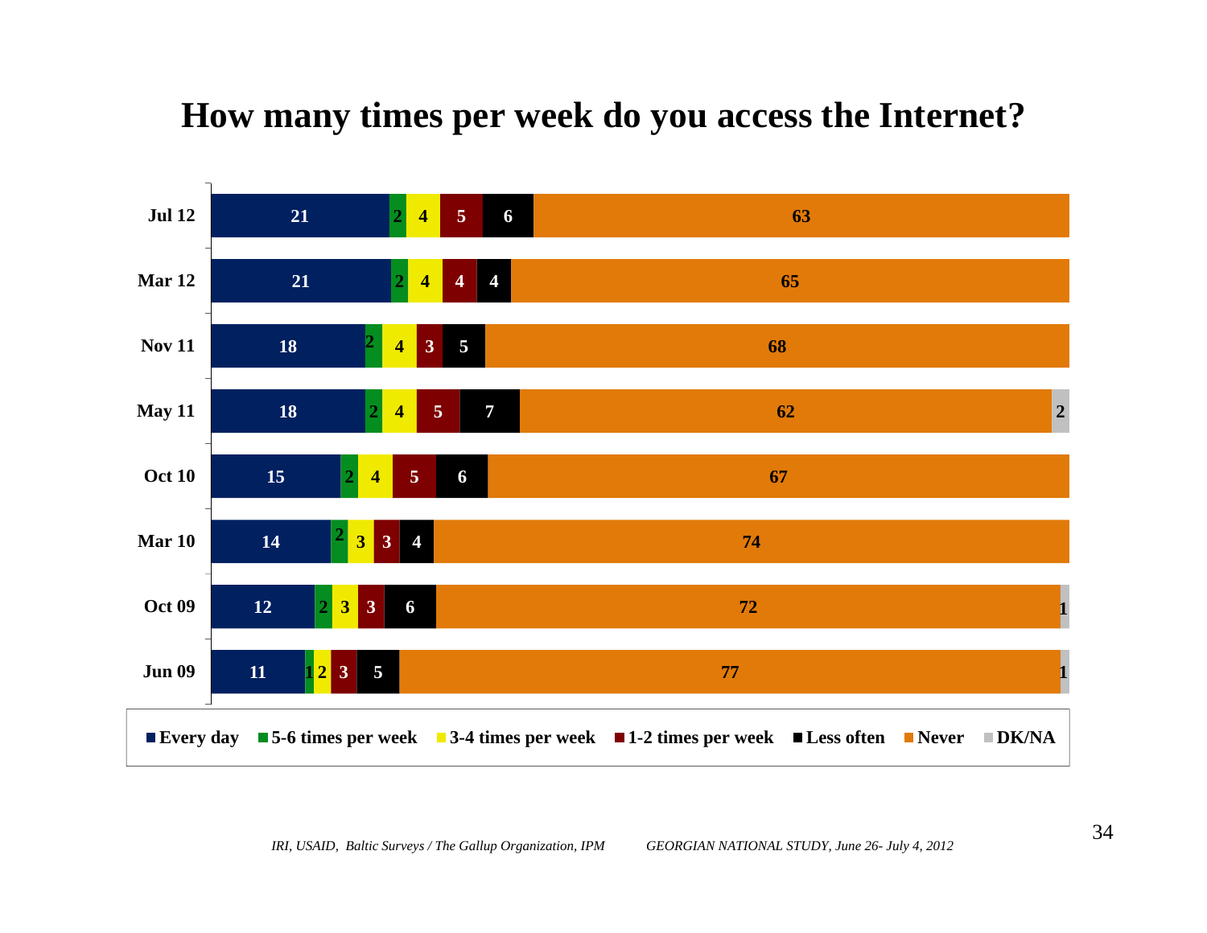#### **How many times per week do you access the Internet?**

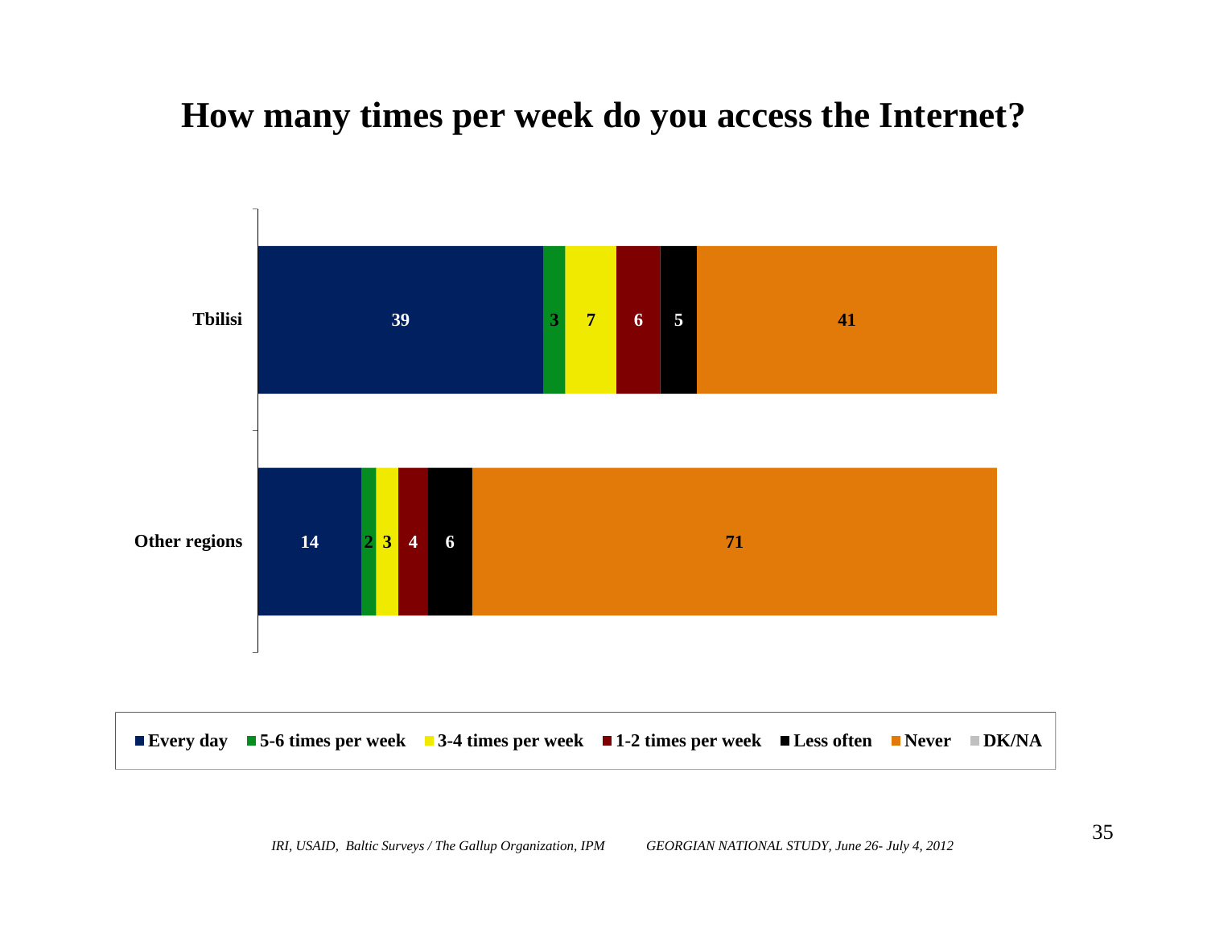#### **How many times per week do you access the Internet?**

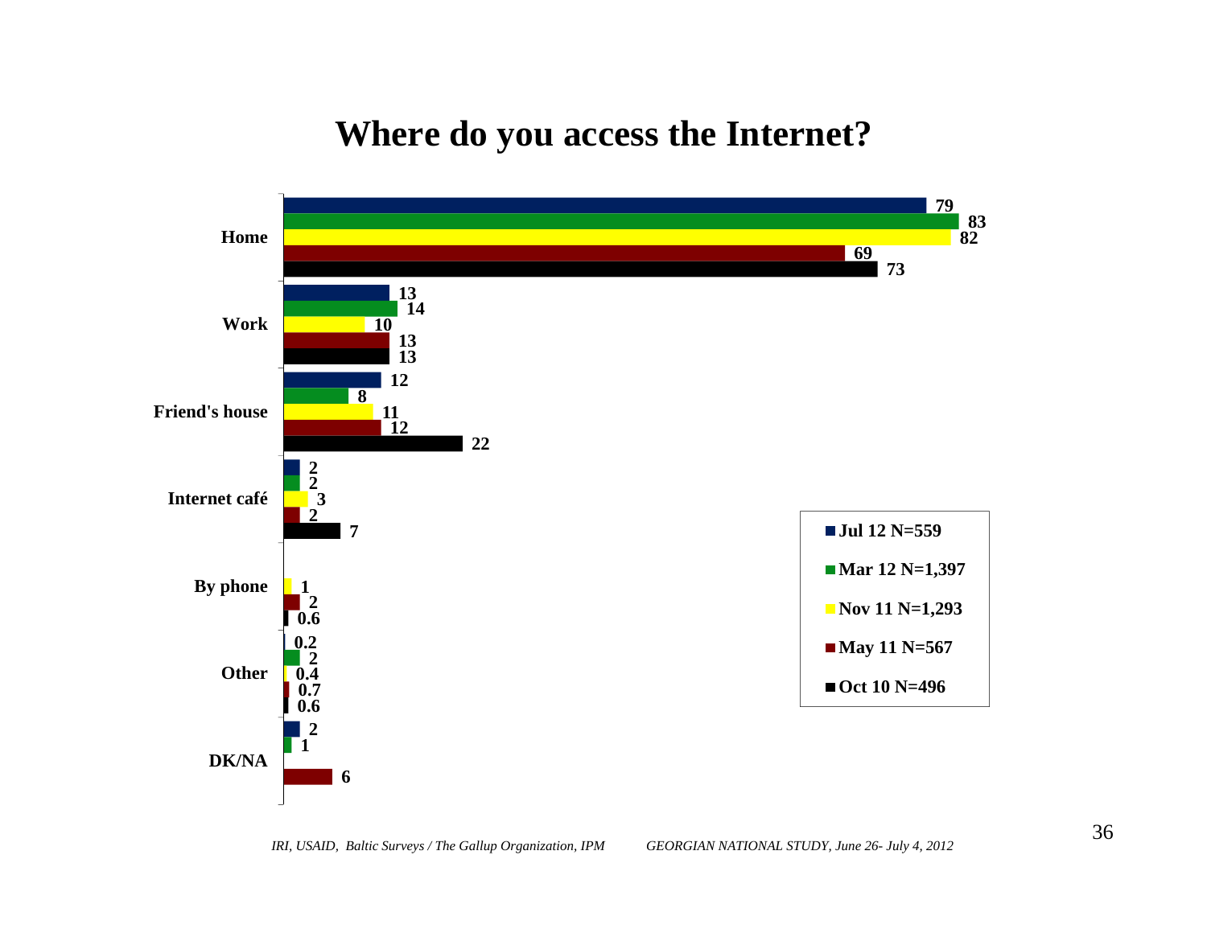#### **Where do you access the Internet?**

![](_page_35_Figure_1.jpeg)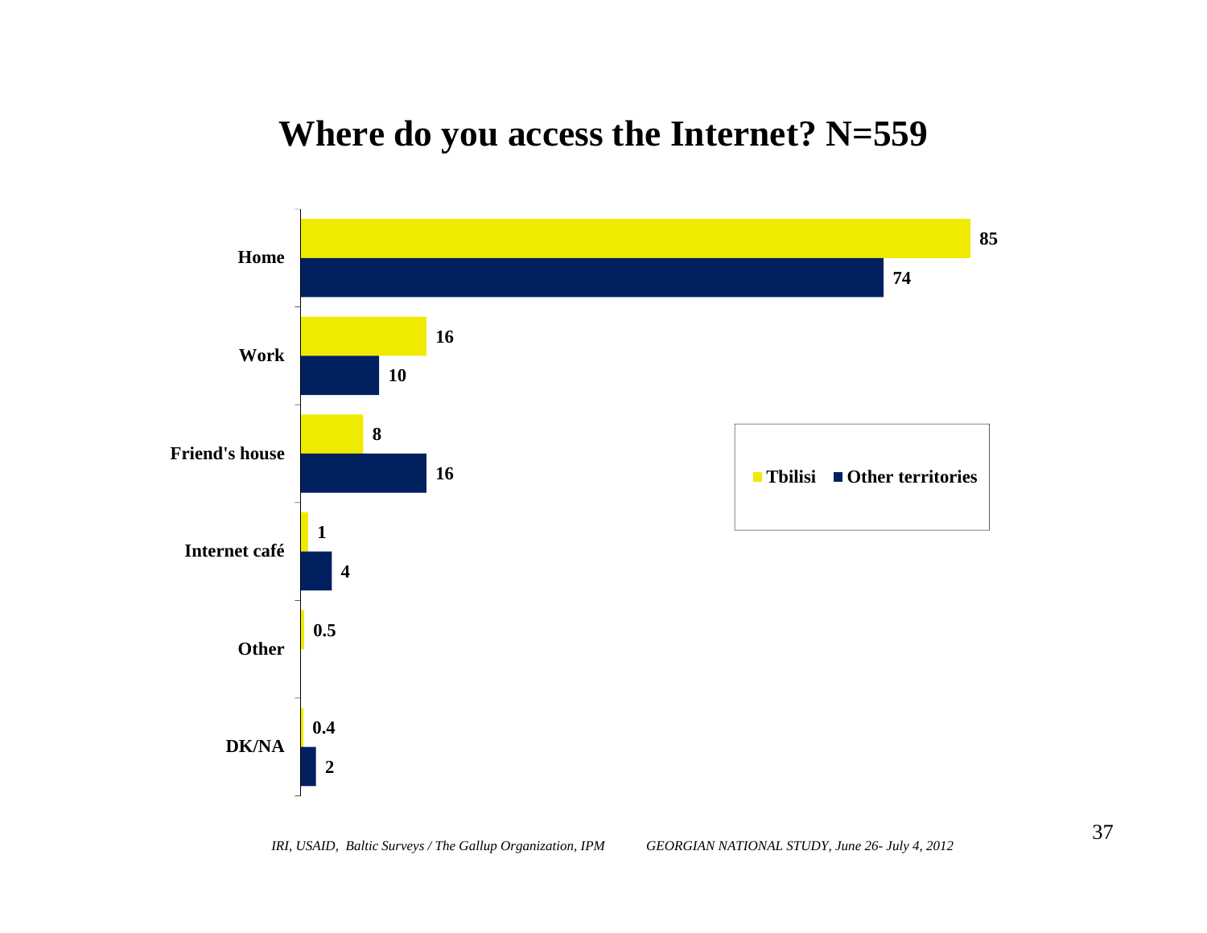#### **Where do you access the Internet? N=559**

![](_page_36_Figure_1.jpeg)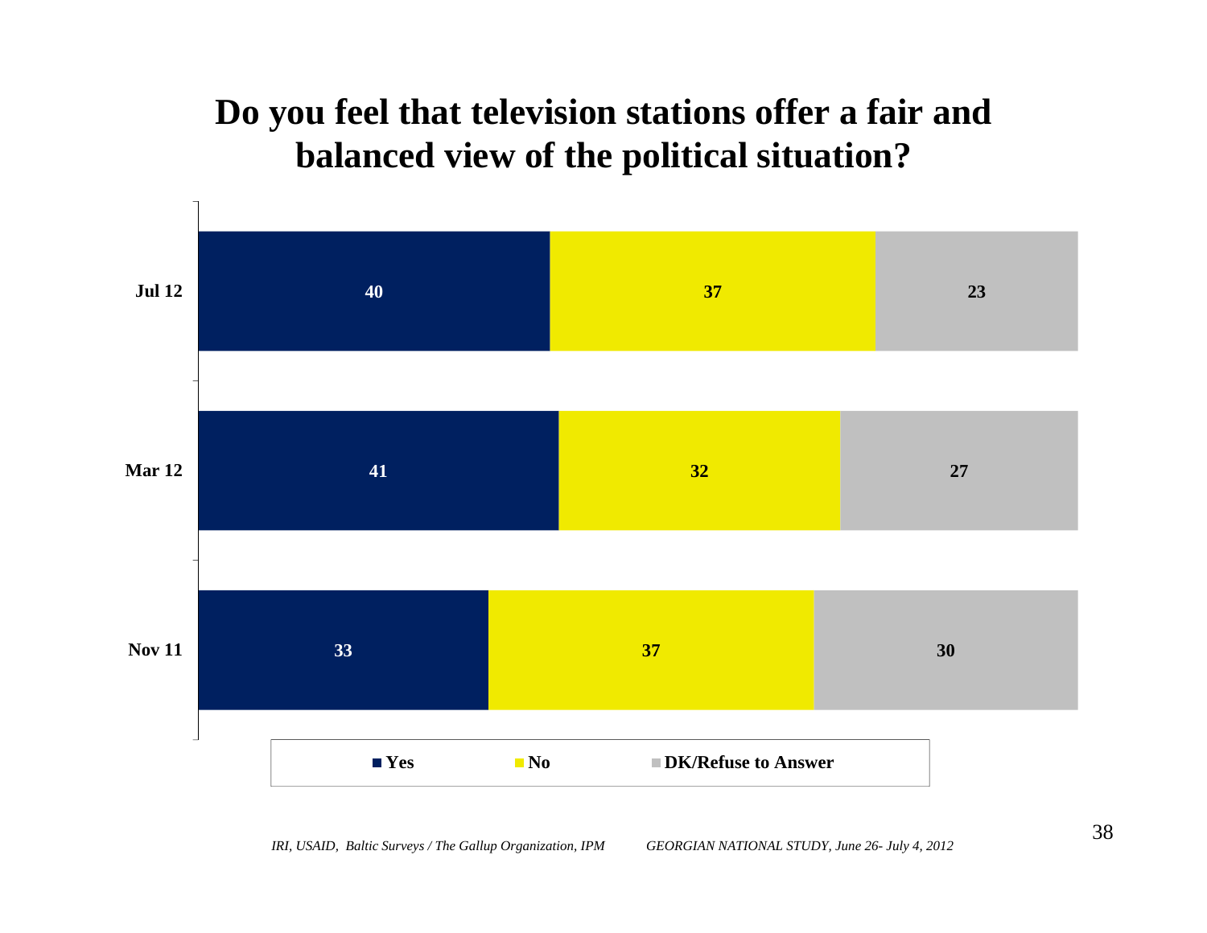### **Do you feel that television stations offer a fair and balanced view of the political situation?**

![](_page_37_Figure_1.jpeg)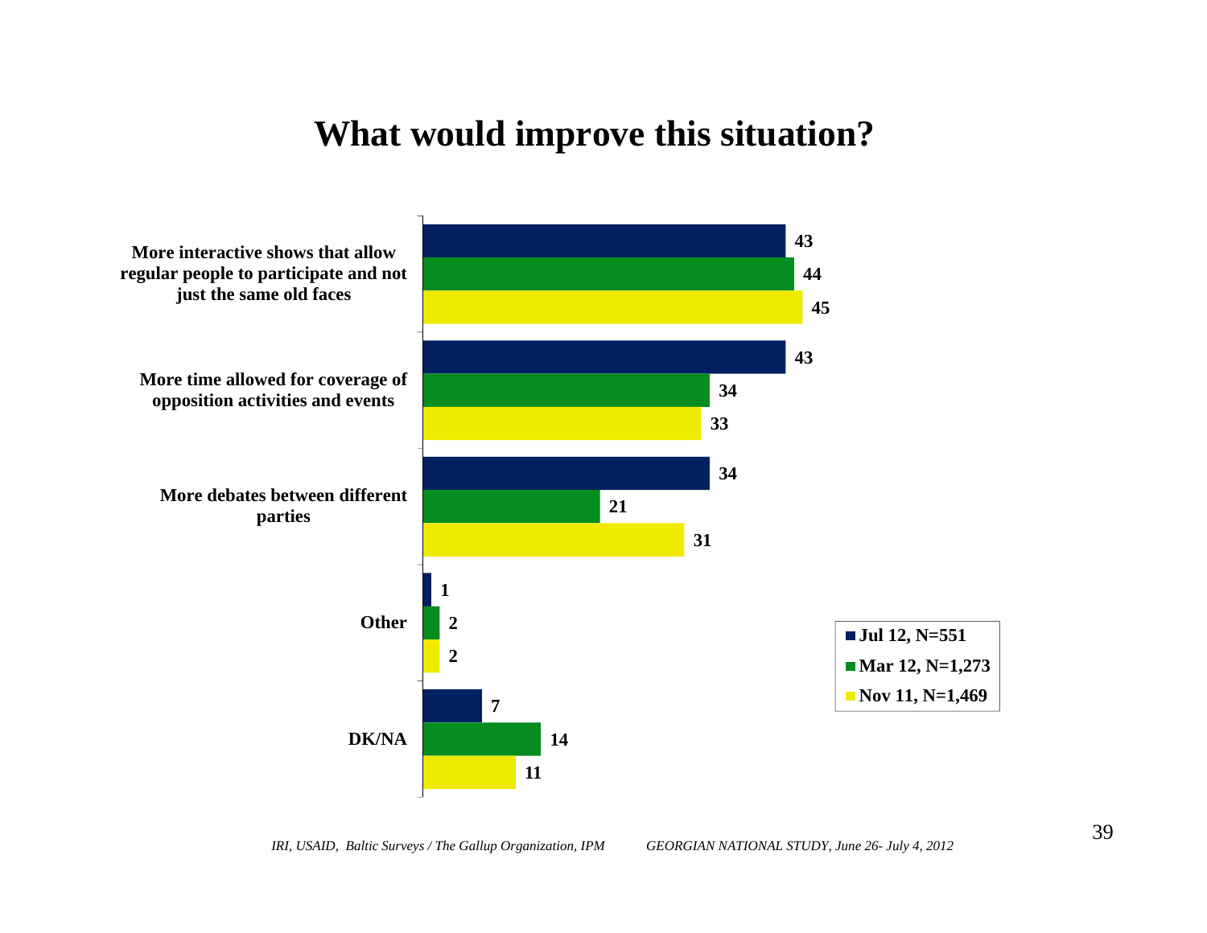#### **What would improve this situation?**

![](_page_38_Figure_1.jpeg)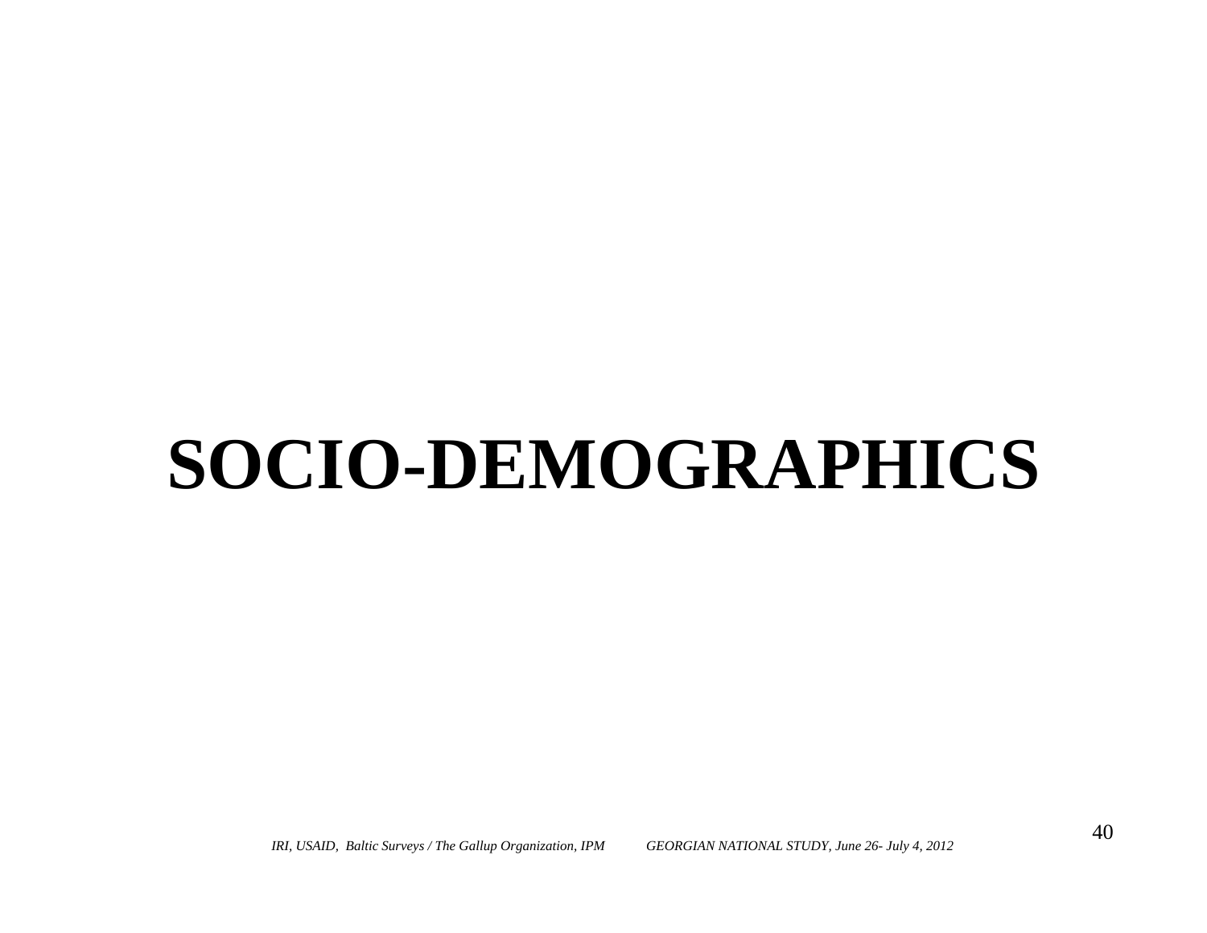# **SOCIO-DEMOGRAPHICS**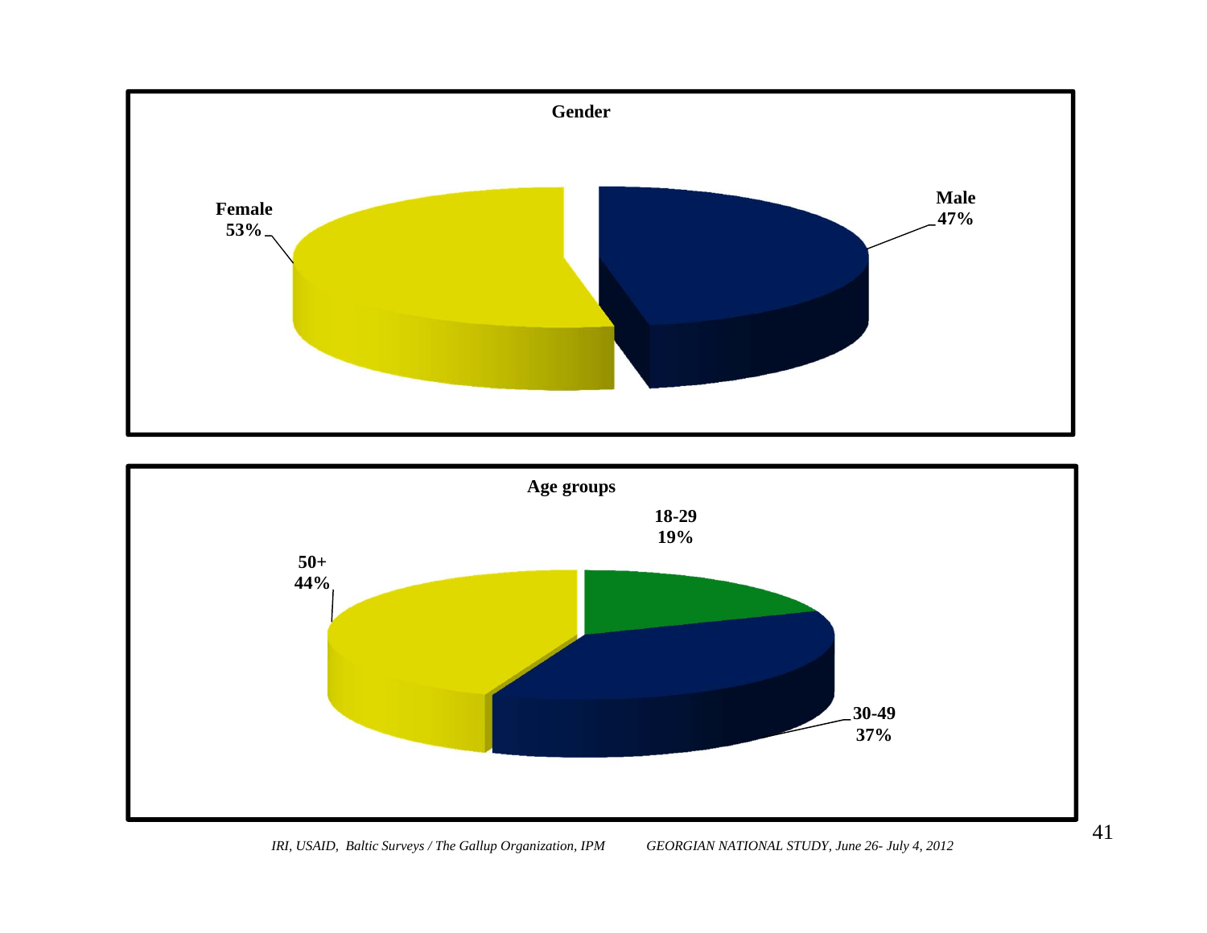![](_page_40_Figure_0.jpeg)

![](_page_40_Figure_1.jpeg)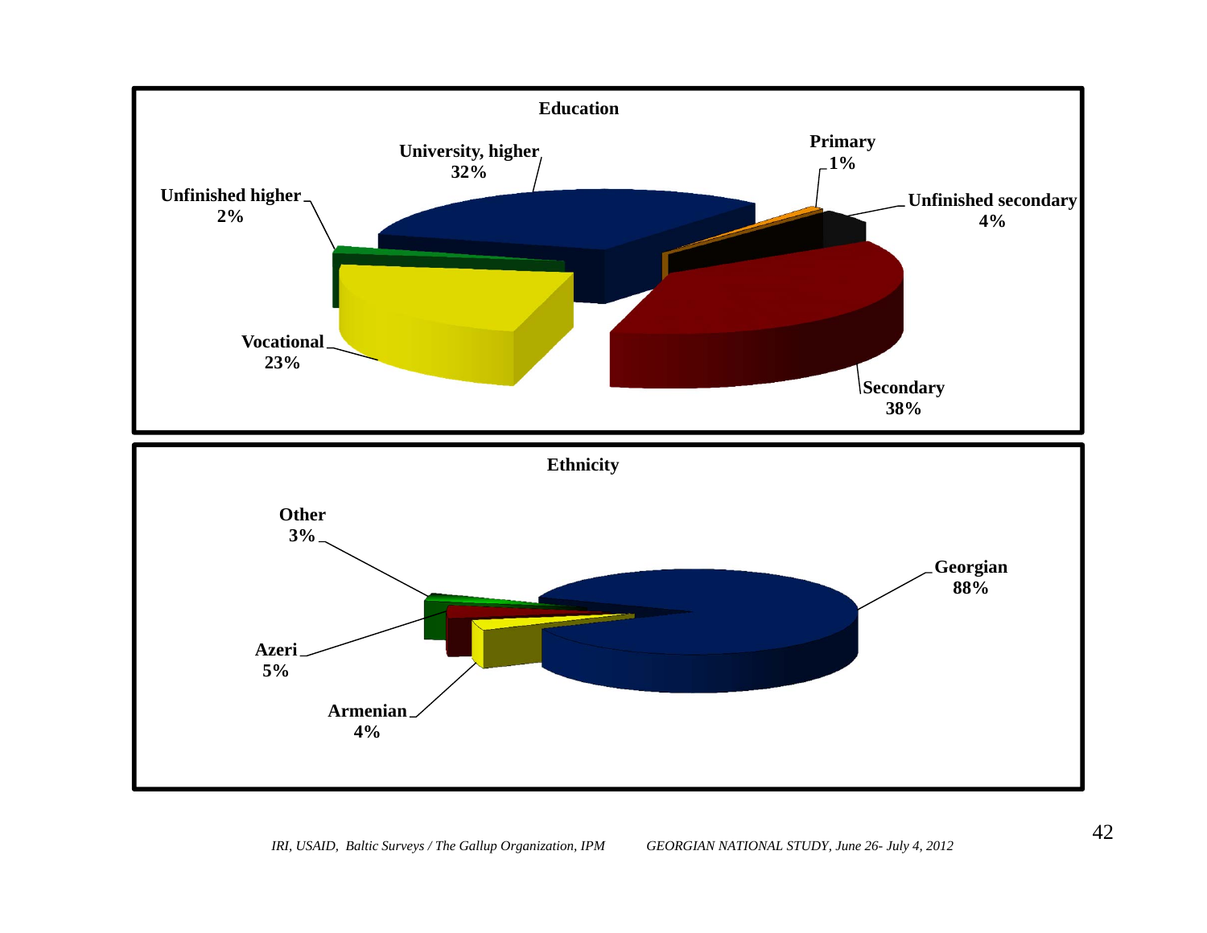![](_page_41_Figure_0.jpeg)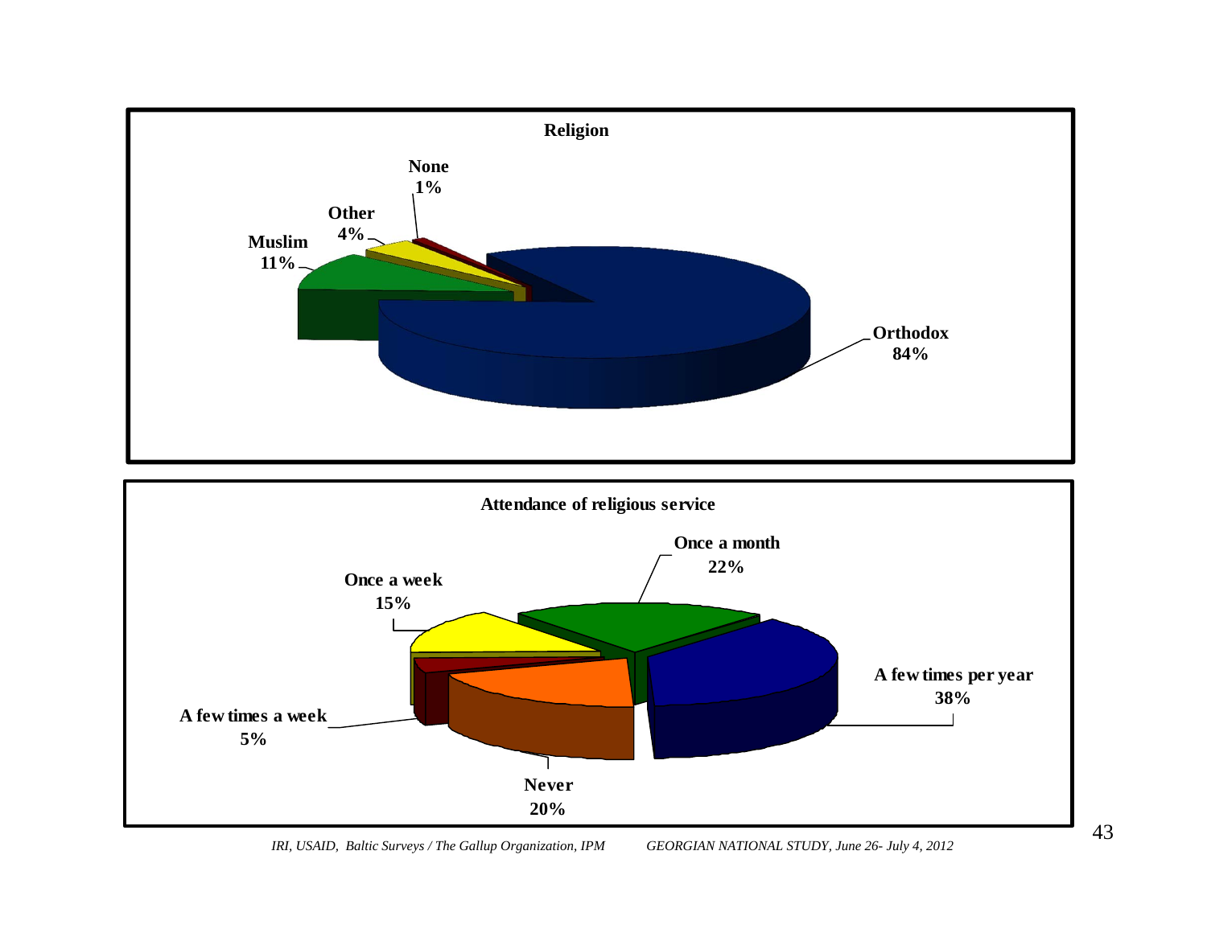![](_page_42_Figure_0.jpeg)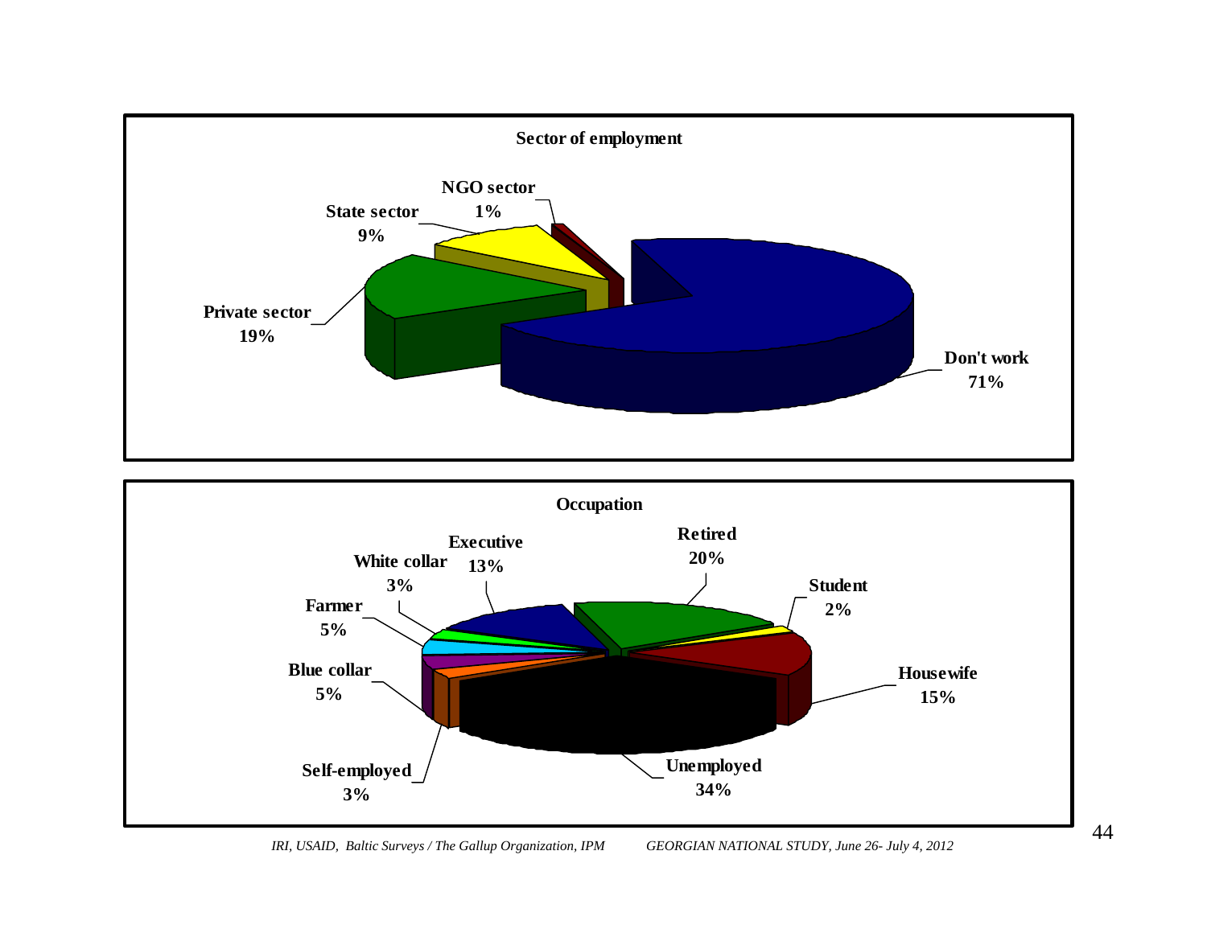![](_page_43_Figure_0.jpeg)

![](_page_43_Figure_1.jpeg)